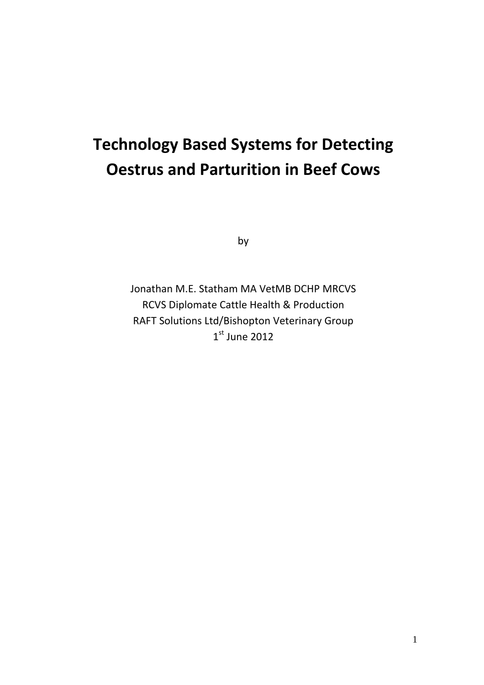# **Technology Based Systems for Detecting Oestrus and Parturition in Beef Cows**

by

Jonathan M.E. Statham MA VetMB DCHP MRCVS RCVS Diplomate Cattle Health & Production RAFT Solutions Ltd/Bishopton Veterinary Group  $1<sup>st</sup>$  June 2012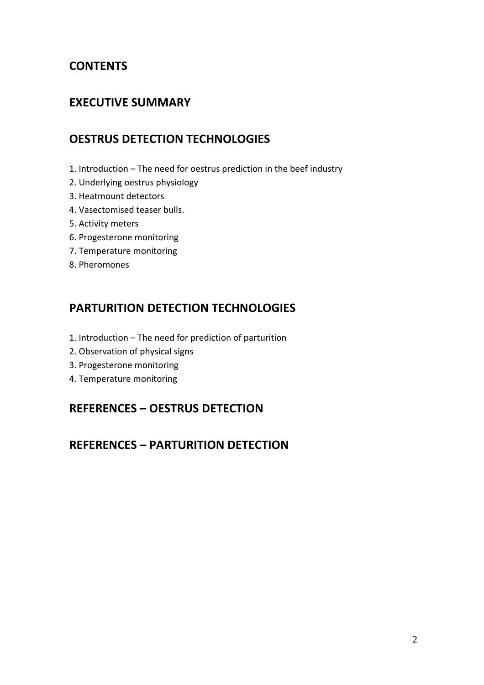## **CONTENTS**

### **EXECUTIVE SUMMARY**

### **OESTRUS DETECTION TECHNOLOGIES**

- 1. Introduction The need for oestrus prediction in the beef industry
- 2. Underlying oestrus physiology
- 3. Heatmount detectors
- 4. Vasectomised teaser bulls.
- 5. Activity meters
- 6. Progesterone monitoring
- 7. Temperature monitoring
- 8. Pheromones

### **PARTURITION DETECTION TECHNOLOGIES**

- 1. Introduction The need for prediction of parturition
- 2. Observation of physical signs
- 3. Progesterone monitoring
- 4. Temperature monitoring

### **REFERENCES – OESTRUS DETECTION**

### **REFERENCES – PARTURITION DETECTION**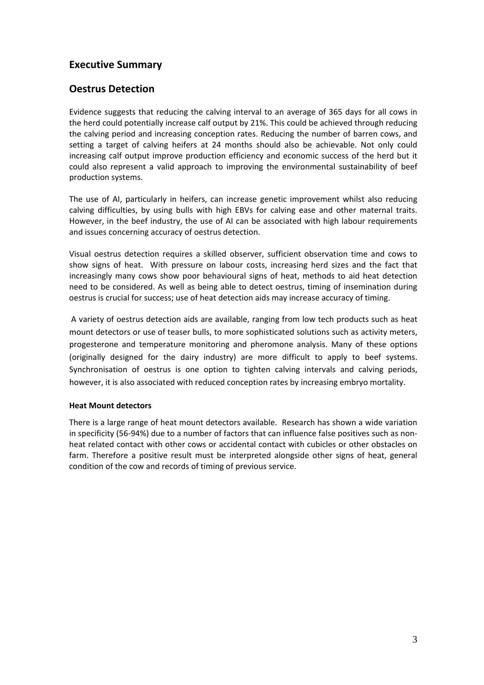### **Executive Summary**

### **Oestrus Detection**

Evidence suggests that reducing the calving interval to an average of 365 days for all cows in the herd could potentially increase calf output by 21%. This could be achieved through reducing the calving period and increasing conception rates. Reducing the number of barren cows, and setting a target of calving heifers at 24 months should also be achievable. Not only could increasing calf output improve production efficiency and economic success of the herd but it could also represent a valid approach to improving the environmental sustainability of beef production systems.

The use of AI, particularly in heifers, can increase genetic improvement whilst also reducing calving difficulties, by using bulls with high EBVs for calving ease and other maternal traits. However, in the beef industry, the use of AI can be associated with high labour requirements and issues concerning accuracy of oestrus detection.

Visual oestrus detection requires a skilled observer, sufficient observation time and cows to show signs of heat. With pressure on labour costs, increasing herd sizes and the fact that increasingly many cows show poor behavioural signs of heat, methods to aid heat detection need to be considered. As well as being able to detect oestrus, timing of insemination during oestrus is crucial for success; use of heat detection aids may increase accuracy of timing.

A variety of oestrus detection aids are available, ranging from low tech products such as heat mount detectors or use of teaser bulls, to more sophisticated solutions such as activity meters, progesterone and temperature monitoring and pheromone analysis. Many of these options (originally designed for the dairy industry) are more difficult to apply to beef systems. Synchronisation of oestrus is one option to tighten calving intervals and calving periods, however, it is also associated with reduced conception rates by increasing embryo mortality.

### **Heat Mount detectors**

There is a large range of heat mount detectors available. Research has shown a wide variation in specificity (56‐94%) due to a number of factors that can influence false positives such as non‐ heat related contact with other cows or accidental contact with cubicles or other obstacles on farm. Therefore a positive result must be interpreted alongside other signs of heat, general condition of the cow and records of timing of previous service.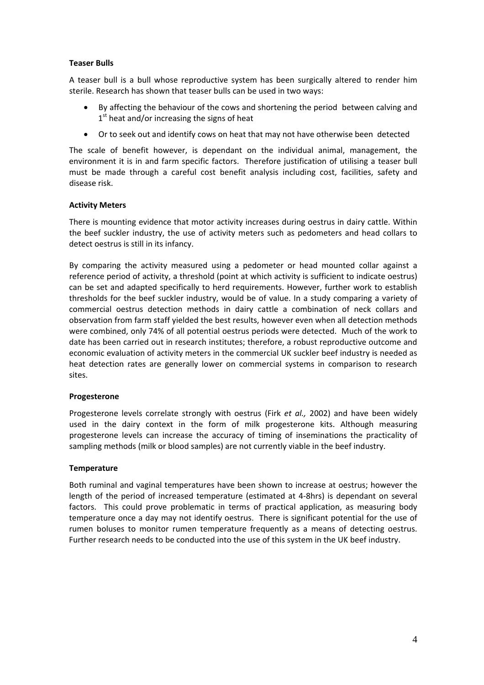### **Teaser Bulls**

A teaser bull is a bull whose reproductive system has been surgically altered to render him sterile. Research has shown that teaser bulls can be used in two ways:

- By affecting the behaviour of the cows and shortening the period between calving and  $1<sup>st</sup>$  heat and/or increasing the signs of heat
- Or to seek out and identify cows on heat that may not have otherwise been detected

The scale of benefit however, is dependant on the individual animal, management, the environment it is in and farm specific factors. Therefore justification of utilising a teaser bull must be made through a careful cost benefit analysis including cost, facilities, safety and disease risk.

### **Activity Meters**

There is mounting evidence that motor activity increases during oestrus in dairy cattle. Within the beef suckler industry, the use of activity meters such as pedometers and head collars to detect oestrus is still in its infancy.

By comparing the activity measured using a pedometer or head mounted collar against a reference period of activity, a threshold (point at which activity is sufficient to indicate oestrus) can be set and adapted specifically to herd requirements. However, further work to establish thresholds for the beef suckler industry, would be of value. In a study comparing a variety of commercial oestrus detection methods in dairy cattle a combination of neck collars and observation from farm staff yielded the best results, however even when all detection methods were combined, only 74% of all potential oestrus periods were detected. Much of the work to date has been carried out in research institutes; therefore, a robust reproductive outcome and economic evaluation of activity meters in the commercial UK suckler beef industry is needed as heat detection rates are generally lower on commercial systems in comparison to research sites.

### **Progesterone**

Progesterone levels correlate strongly with oestrus (Firk *et al.,* 2002) and have been widely used in the dairy context in the form of milk progesterone kits. Although measuring progesterone levels can increase the accuracy of timing of inseminations the practicality of sampling methods (milk or blood samples) are not currently viable in the beef industry.

### **Temperature**

Both ruminal and vaginal temperatures have been shown to increase at oestrus; however the length of the period of increased temperature (estimated at 4‐8hrs) is dependant on several factors. This could prove problematic in terms of practical application, as measuring body temperature once a day may not identify oestrus. There is significant potential for the use of rumen boluses to monitor rumen temperature frequently as a means of detecting oestrus. Further research needs to be conducted into the use of this system in the UK beef industry.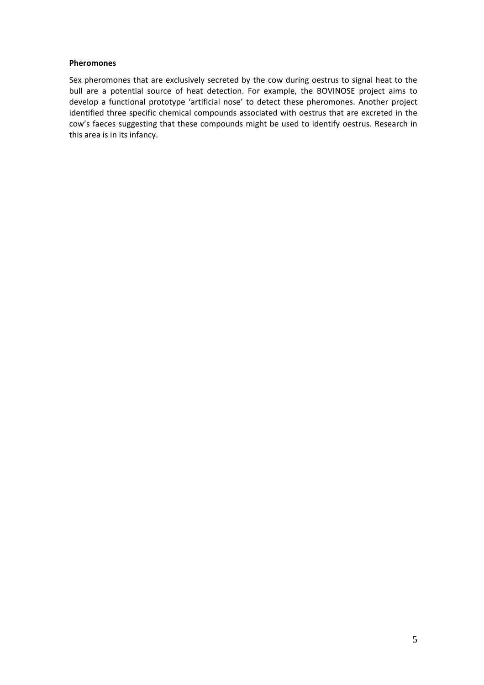#### **Pheromones**

Sex pheromones that are exclusively secreted by the cow during oestrus to signal heat to the bull are a potential source of heat detection. For example, the BOVINOSE project aims to develop a functional prototype 'artificial nose' to detect these pheromones. Another project identified three specific chemical compounds associated with oestrus that are excreted in the cow's faeces suggesting that these compounds might be used to identify oestrus. Research in this area is in its infancy.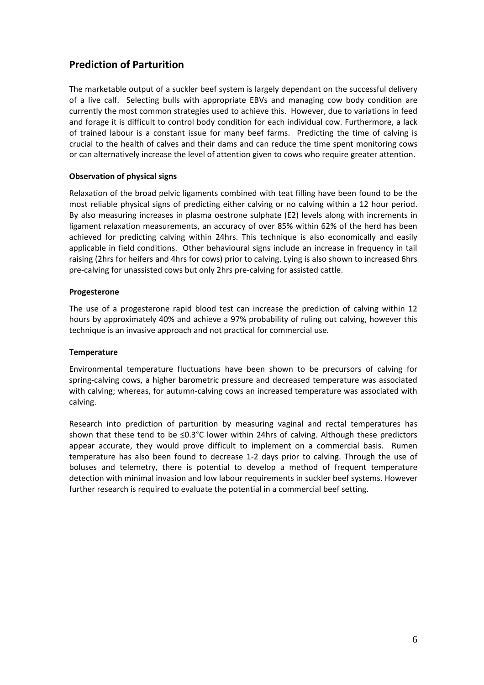### **Prediction of Parturition**

The marketable output of a suckler beef system is largely dependant on the successful delivery of a live calf. Selecting bulls with appropriate EBVs and managing cow body condition are currently the most common strategies used to achieve this. However, due to variations in feed and forage it is difficult to control body condition for each individual cow. Furthermore, a lack of trained labour is a constant issue for many beef farms. Predicting the time of calving is crucial to the health of calves and their dams and can reduce the time spent monitoring cows or can alternatively increase the level of attention given to cows who require greater attention.

### **Observation of physical signs**

Relaxation of the broad pelvic ligaments combined with teat filling have been found to be the most reliable physical signs of predicting either calving or no calving within a 12 hour period. By also measuring increases in plasma oestrone sulphate (E2) levels along with increments in ligament relaxation measurements, an accuracy of over 85% within 62% of the herd has been achieved for predicting calving within 24hrs. This technique is also economically and easily applicable in field conditions. Other behavioural signs include an increase in frequency in tail raising (2hrs for heifers and 4hrs for cows) prior to calving. Lying is also shown to increased 6hrs pre‐calving for unassisted cows but only 2hrs pre‐calving for assisted cattle.

### **Progesterone**

The use of a progesterone rapid blood test can increase the prediction of calving within 12 hours by approximately 40% and achieve a 97% probability of ruling out calving, however this technique is an invasive approach and not practical for commercial use.

### **Temperature**

Environmental temperature fluctuations have been shown to be precursors of calving for spring‐calving cows, a higher barometric pressure and decreased temperature was associated with calving; whereas, for autumn-calving cows an increased temperature was associated with calving.

Research into prediction of parturition by measuring vaginal and rectal temperatures has shown that these tend to be ≤0.3°C lower within 24hrs of calving. Although these predictors appear accurate, they would prove difficult to implement on a commercial basis. Rumen temperature has also been found to decrease 1‐2 days prior to calving. Through the use of boluses and telemetry, there is potential to develop a method of frequent temperature detection with minimal invasion and low labour requirements in suckler beef systems. However further research is required to evaluate the potential in a commercial beef setting.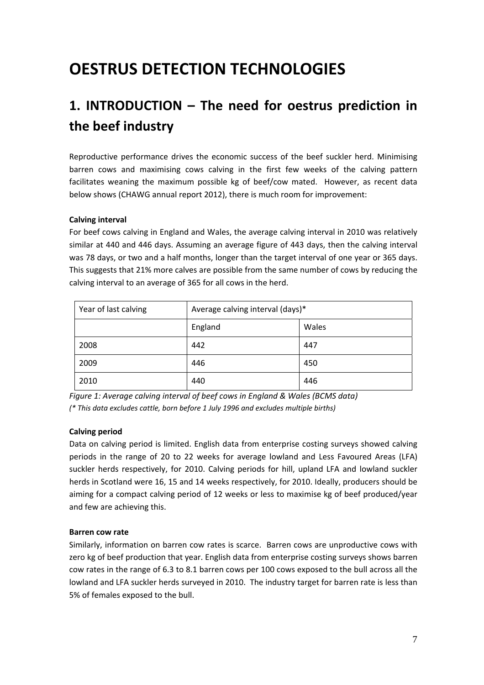# **OESTRUS DETECTION TECHNOLOGIES**

# **1. INTRODUCTION – The need for oestrus prediction in the beef industry**

Reproductive performance drives the economic success of the beef suckler herd. Minimising barren cows and maximising cows calving in the first few weeks of the calving pattern facilitates weaning the maximum possible kg of beef/cow mated. However, as recent data below shows (CHAWG annual report 2012), there is much room for improvement:

### **Calving interval**

For beef cows calving in England and Wales, the average calving interval in 2010 was relatively similar at 440 and 446 days. Assuming an average figure of 443 days, then the calving interval was 78 days, or two and a half months, longer than the target interval of one year or 365 days. This suggests that 21% more calves are possible from the same number of cows by reducing the calving interval to an average of 365 for all cows in the herd.

| Year of last calving | Average calving interval (days)* |       |
|----------------------|----------------------------------|-------|
|                      | England                          | Wales |
| 2008                 | 442                              | 447   |
| 2009                 | 446                              | 450   |
| 2010                 | 440                              | 446   |

*Figure 1: Average calving interval of beef cows in England & Wales (BCMS data) (\* This data excludes cattle, born before 1 July 1996 and excludes multiple births)*

### **Calving period**

Data on calving period is limited. English data from enterprise costing surveys showed calving periods in the range of 20 to 22 weeks for average lowland and Less Favoured Areas (LFA) suckler herds respectively, for 2010. Calving periods for hill, upland LFA and lowland suckler herds in Scotland were 16, 15 and 14 weeks respectively, for 2010. Ideally, producers should be aiming for a compact calving period of 12 weeks or less to maximise kg of beef produced/year and few are achieving this.

### **Barren cow rate**

Similarly, information on barren cow rates is scarce. Barren cows are unproductive cows with zero kg of beef production that year. English data from enterprise costing surveys shows barren cow rates in the range of 6.3 to 8.1 barren cows per 100 cows exposed to the bull across all the lowland and LFA suckler herds surveyed in 2010. The industry target for barren rate is less than 5% of females exposed to the bull.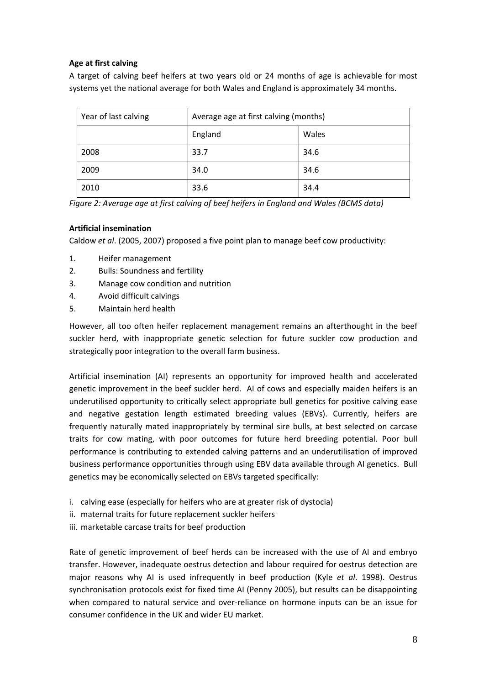### **Age at first calving**

A target of calving beef heifers at two years old or 24 months of age is achievable for most systems yet the national average for both Wales and England is approximately 34 months.

| Year of last calving | Average age at first calving (months) |       |
|----------------------|---------------------------------------|-------|
|                      | England                               | Wales |
| 2008                 | 33.7                                  | 34.6  |
| 2009                 | 34.0                                  | 34.6  |
| 2010                 | 33.6                                  | 34.4  |

*Figure 2: Average age at first calving of beef heifers in England and Wales (BCMS data)*

### **Artificial insemination**

Caldow *et al*. (2005, 2007) proposed a five point plan to manage beef cow productivity:

- 1. Heifer management
- 2. Bulls: Soundness and fertility
- 3. Manage cow condition and nutrition
- 4. Avoid difficult calvings
- 5. Maintain herd health

However, all too often heifer replacement management remains an afterthought in the beef suckler herd, with inappropriate genetic selection for future suckler cow production and strategically poor integration to the overall farm business.

Artificial insemination (AI) represents an opportunity for improved health and accelerated genetic improvement in the beef suckler herd. AI of cows and especially maiden heifers is an underutilised opportunity to critically select appropriate bull genetics for positive calving ease and negative gestation length estimated breeding values (EBVs). Currently, heifers are frequently naturally mated inappropriately by terminal sire bulls, at best selected on carcase traits for cow mating, with poor outcomes for future herd breeding potential. Poor bull performance is contributing to extended calving patterns and an underutilisation of improved business performance opportunities through using EBV data available through AI genetics. Bull genetics may be economically selected on EBVs targeted specifically:

- i. calving ease (especially for heifers who are at greater risk of dystocia)
- ii. maternal traits for future replacement suckler heifers
- iii. marketable carcase traits for beef production

Rate of genetic improvement of beef herds can be increased with the use of AI and embryo transfer. However, inadequate oestrus detection and labour required for oestrus detection are major reasons why AI is used infrequently in beef production (Kyle *et al*. 1998). Oestrus synchronisation protocols exist for fixed time AI (Penny 2005), but results can be disappointing when compared to natural service and over-reliance on hormone inputs can be an issue for consumer confidence in the UK and wider EU market.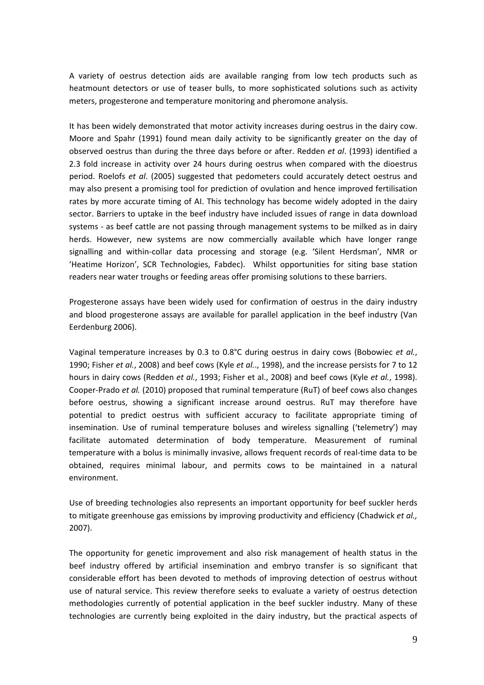A variety of oestrus detection aids are available ranging from low tech products such as heatmount detectors or use of teaser bulls, to more sophisticated solutions such as activity meters, progesterone and temperature monitoring and pheromone analysis.

It has been widely demonstrated that motor activity increases during oestrus in the dairy cow. Moore and Spahr (1991) found mean daily activity to be significantly greater on the day of observed oestrus than during the three days before or after. Redden *et al*. (1993) identified a 2.3 fold increase in activity over 24 hours during oestrus when compared with the dioestrus period. Roelofs *et al*. (2005) suggested that pedometers could accurately detect oestrus and may also present a promising tool for prediction of ovulation and hence improved fertilisation rates by more accurate timing of AI. This technology has become widely adopted in the dairy sector. Barriers to uptake in the beef industry have included issues of range in data download systems - as beef cattle are not passing through management systems to be milked as in dairy herds. However, new systems are now commercially available which have longer range signalling and within‐collar data processing and storage (e.g. 'Silent Herdsman', NMR or 'Heatime Horizon', SCR Technologies, Fabdec). Whilst opportunities for siting base station readers near water troughs or feeding areas offer promising solutions to these barriers.

Progesterone assays have been widely used for confirmation of oestrus in the dairy industry and blood progesterone assays are available for parallel application in the beef industry (Van Eerdenburg 2006).

Vaginal temperature increases by 0.3 to 0.8°C during oestrus in dairy cows (Bobowiec *et al.*, 1990; Fisher *et al.*, 2008) and beef cows (Kyle *et al.*., 1998), and the increase persists for 7 to 12 hours in dairy cows (Redden *et al.*, 1993; Fisher et al., 2008) and beef cows (Kyle *et al.*, 1998). Cooper‐Prado *et al.* (2010) proposed that ruminal temperature (RuT) of beef cows also changes before oestrus, showing a significant increase around oestrus. RuT may therefore have potential to predict oestrus with sufficient accuracy to facilitate appropriate timing of insemination. Use of ruminal temperature boluses and wireless signalling ('telemetry') may facilitate automated determination of body temperature. Measurement of ruminal temperature with a bolus is minimally invasive, allows frequent records of real‐time data to be obtained, requires minimal labour, and permits cows to be maintained in a natural environment.

Use of breeding technologies also represents an important opportunity for beef suckler herds to mitigate greenhouse gas emissions by improving productivity and efficiency (Chadwick *et al.,* 2007).

The opportunity for genetic improvement and also risk management of health status in the beef industry offered by artificial insemination and embryo transfer is so significant that considerable effort has been devoted to methods of improving detection of oestrus without use of natural service. This review therefore seeks to evaluate a variety of oestrus detection methodologies currently of potential application in the beef suckler industry. Many of these technologies are currently being exploited in the dairy industry, but the practical aspects of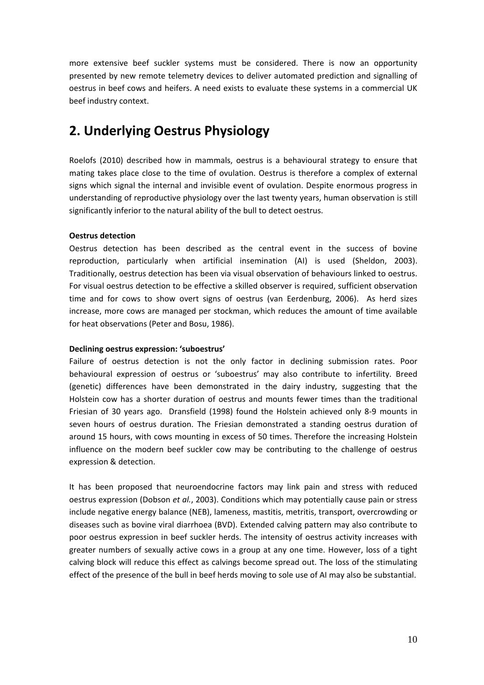more extensive beef suckler systems must be considered. There is now an opportunity presented by new remote telemetry devices to deliver automated prediction and signalling of oestrus in beef cows and heifers. A need exists to evaluate these systems in a commercial UK beef industry context.

# **2. Underlying Oestrus Physiology**

Roelofs (2010) described how in mammals, oestrus is a behavioural strategy to ensure that mating takes place close to the time of ovulation. Oestrus is therefore a complex of external signs which signal the internal and invisible event of ovulation. Despite enormous progress in understanding of reproductive physiology over the last twenty years, human observation is still significantly inferior to the natural ability of the bull to detect oestrus.

### **Oestrus detection**

Oestrus detection has been described as the central event in the success of bovine reproduction, particularly when artificial insemination (AI) is used (Sheldon, 2003). Traditionally, oestrus detection has been via visual observation of behaviours linked to oestrus. For visual oestrus detection to be effective a skilled observer is required, sufficient observation time and for cows to show overt signs of oestrus (van Eerdenburg, 2006). As herd sizes increase, more cows are managed per stockman, which reduces the amount of time available for heat observations (Peter and Bosu, 1986).

### **Declining oestrus expression: 'suboestrus'**

Failure of oestrus detection is not the only factor in declining submission rates. Poor behavioural expression of oestrus or 'suboestrus' may also contribute to infertility. Breed (genetic) differences have been demonstrated in the dairy industry, suggesting that the Holstein cow has a shorter duration of oestrus and mounts fewer times than the traditional Friesian of 30 years ago. Dransfield (1998) found the Holstein achieved only 8‐9 mounts in seven hours of oestrus duration. The Friesian demonstrated a standing oestrus duration of around 15 hours, with cows mounting in excess of 50 times. Therefore the increasing Holstein influence on the modern beef suckler cow may be contributing to the challenge of oestrus expression & detection.

It has been proposed that neuroendocrine factors may link pain and stress with reduced oestrus expression (Dobson *et al.*, 2003). Conditions which may potentially cause pain or stress include negative energy balance (NEB), lameness, mastitis, metritis, transport, overcrowding or diseases such as bovine viral diarrhoea (BVD). Extended calving pattern may also contribute to poor oestrus expression in beef suckler herds. The intensity of oestrus activity increases with greater numbers of sexually active cows in a group at any one time. However, loss of a tight calving block will reduce this effect as calvings become spread out. The loss of the stimulating effect of the presence of the bull in beef herds moving to sole use of AI may also be substantial.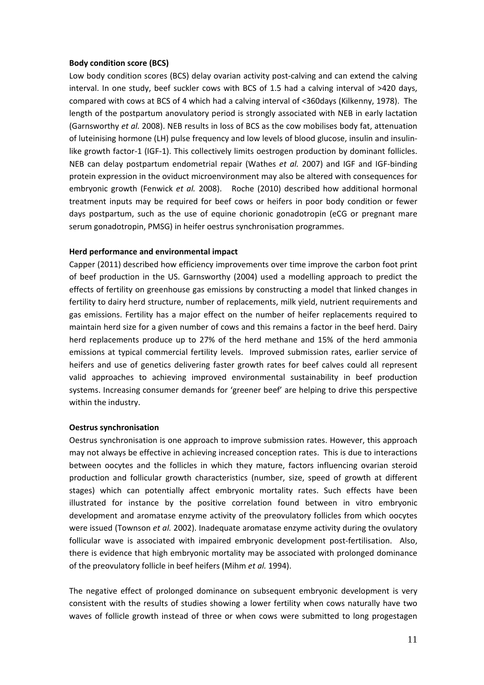#### **Body condition score (BCS)**

Low body condition scores (BCS) delay ovarian activity post-calving and can extend the calving interval. In one study, beef suckler cows with BCS of 1.5 had a calving interval of >420 days, compared with cows at BCS of 4 which had a calving interval of <360days (Kilkenny, 1978). The length of the postpartum anovulatory period is strongly associated with NEB in early lactation (Garnsworthy *et al.* 2008). NEB results in loss of BCS as the cow mobilises body fat, attenuation of luteinising hormone (LH) pulse frequency and low levels of blood glucose, insulin and insulin‐ like growth factor-1 (IGF-1). This collectively limits oestrogen production by dominant follicles. NEB can delay postpartum endometrial repair (Wathes *et al.* 2007) and IGF and IGF‐binding protein expression in the oviduct microenvironment may also be altered with consequences for embryonic growth (Fenwick *et al.* 2008). Roche (2010) described how additional hormonal treatment inputs may be required for beef cows or heifers in poor body condition or fewer days postpartum, such as the use of equine chorionic gonadotropin (eCG or pregnant mare serum gonadotropin, PMSG) in heifer oestrus synchronisation programmes.

### **Herd performance and environmental impact**

Capper (2011) described how efficiency improvements over time improve the carbon foot print of beef production in the US. Garnsworthy (2004) used a modelling approach to predict the effects of fertility on greenhouse gas emissions by constructing a model that linked changes in fertility to dairy herd structure, number of replacements, milk yield, nutrient requirements and gas emissions. Fertility has a major effect on the number of heifer replacements required to maintain herd size for a given number of cows and this remains a factor in the beef herd. Dairy herd replacements produce up to 27% of the herd methane and 15% of the herd ammonia emissions at typical commercial fertility levels. Improved submission rates, earlier service of heifers and use of genetics delivering faster growth rates for beef calves could all represent valid approaches to achieving improved environmental sustainability in beef production systems. Increasing consumer demands for 'greener beef' are helping to drive this perspective within the industry.

### **Oestrus synchronisation**

Oestrus synchronisation is one approach to improve submission rates. However, this approach may not always be effective in achieving increased conception rates. This is due to interactions between oocytes and the follicles in which they mature, factors influencing ovarian steroid production and follicular growth characteristics (number, size, speed of growth at different stages) which can potentially affect embryonic mortality rates. Such effects have been illustrated for instance by the positive correlation found between in vitro embryonic development and aromatase enzyme activity of the preovulatory follicles from which oocytes were issued (Townson *et al.* 2002). Inadequate aromatase enzyme activity during the ovulatory follicular wave is associated with impaired embryonic development post-fertilisation. Also, there is evidence that high embryonic mortality may be associated with prolonged dominance of the preovulatory follicle in beef heifers (Mihm *et al.* 1994).

The negative effect of prolonged dominance on subsequent embryonic development is very consistent with the results of studies showing a lower fertility when cows naturally have two waves of follicle growth instead of three or when cows were submitted to long progestagen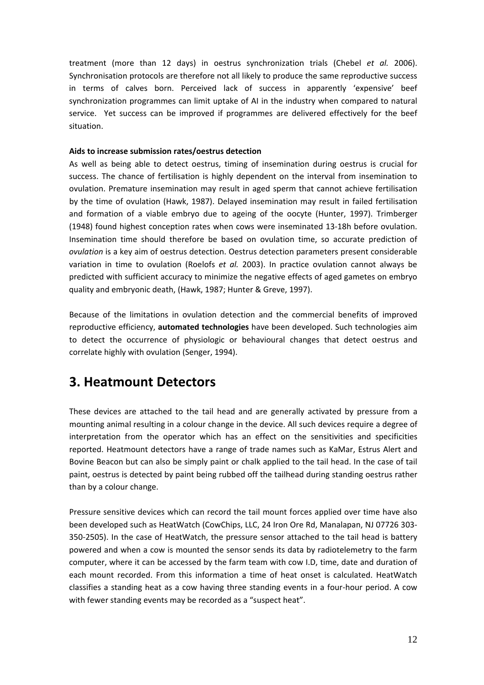treatment (more than 12 days) in oestrus synchronization trials (Chebel *et al.* 2006). Synchronisation protocols are therefore not all likely to produce the same reproductive success in terms of calves born. Perceived lack of success in apparently 'expensive' beef synchronization programmes can limit uptake of AI in the industry when compared to natural service. Yet success can be improved if programmes are delivered effectively for the beef situation.

### **Aids to increase submission rates/oestrus detection**

As well as being able to detect oestrus, timing of insemination during oestrus is crucial for success. The chance of fertilisation is highly dependent on the interval from insemination to ovulation. Premature insemination may result in aged sperm that cannot achieve fertilisation by the time of ovulation (Hawk, 1987). Delayed insemination may result in failed fertilisation and formation of a viable embryo due to ageing of the oocyte (Hunter, 1997). Trimberger (1948) found highest conception rates when cows were inseminated 13‐18h before ovulation. Insemination time should therefore be based on ovulation time, so accurate prediction of *ovulation* is a key aim of oestrus detection. Oestrus detection parameters present considerable variation in time to ovulation (Roelofs *et al.* 2003). In practice ovulation cannot always be predicted with sufficient accuracy to minimize the negative effects of aged gametes on embryo quality and embryonic death, (Hawk, 1987; Hunter & Greve, 1997).

Because of the limitations in ovulation detection and the commercial benefits of improved reproductive efficiency, **automated technologies** have been developed. Such technologies aim to detect the occurrence of physiologic or behavioural changes that detect oestrus and correlate highly with ovulation (Senger, 1994).

# **3. Heatmount Detectors**

These devices are attached to the tail head and are generally activated by pressure from a mounting animal resulting in a colour change in the device. All such devices require a degree of interpretation from the operator which has an effect on the sensitivities and specificities reported. Heatmount detectors have a range of trade names such as KaMar, Estrus Alert and Bovine Beacon but can also be simply paint or chalk applied to the tail head. In the case of tail paint, oestrus is detected by paint being rubbed off the tailhead during standing oestrus rather than by a colour change.

Pressure sensitive devices which can record the tail mount forces applied over time have also been developed such as HeatWatch (CowChips, LLC, 24 Iron Ore Rd, Manalapan, NJ 07726 303‐ 350‐2505). In the case of HeatWatch, the pressure sensor attached to the tail head is battery powered and when a cow is mounted the sensor sends its data by radiotelemetry to the farm computer, where it can be accessed by the farm team with cow I.D, time, date and duration of each mount recorded. From this information a time of heat onset is calculated. HeatWatch classifies a standing heat as a cow having three standing events in a four‐hour period. A cow with fewer standing events may be recorded as a "suspect heat".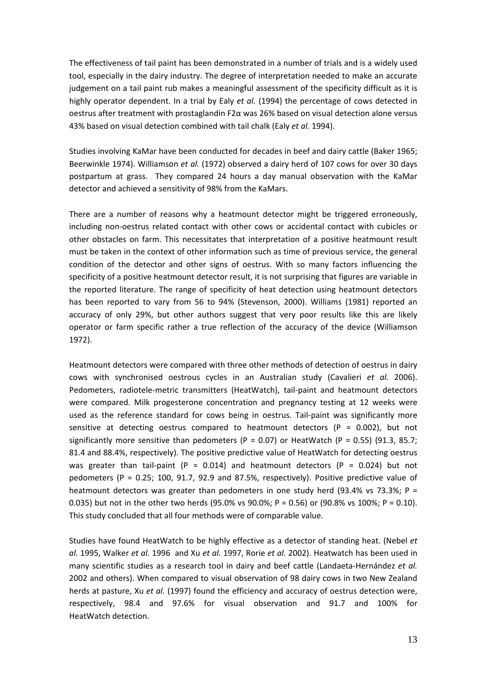The effectiveness of tail paint has been demonstrated in a number of trials and is a widely used tool, especially in the dairy industry. The degree of interpretation needed to make an accurate judgement on a tail paint rub makes a meaningful assessment of the specificity difficult as it is highly operator dependent. In a trial by Ealy *et al.* (1994) the percentage of cows detected in oestrus after treatment with prostaglandin F2α was 26% based on visual detection alone versus 43% based on visual detection combined with tail chalk (Ealy *et al.* 1994).

Studies involving KaMar have been conducted for decades in beef and dairy cattle (Baker 1965; Beerwinkle 1974). Williamson *et al.* (1972) observed a dairy herd of 107 cows for over 30 days postpartum at grass. They compared 24 hours a day manual observation with the KaMar detector and achieved a sensitivity of 98% from the KaMars.

There are a number of reasons why a heatmount detector might be triggered erroneously, including non‐oestrus related contact with other cows or accidental contact with cubicles or other obstacles on farm. This necessitates that interpretation of a positive heatmount result must be taken in the context of other information such as time of previous service, the general condition of the detector and other signs of oestrus. With so many factors influencing the specificity of a positive heatmount detector result, it is not surprising that figures are variable in the reported literature. The range of specificity of heat detection using heatmount detectors has been reported to vary from 56 to 94% (Stevenson, 2000). Williams (1981) reported an accuracy of only 29%, but other authors suggest that very poor results like this are likely operator or farm specific rather a true reflection of the accuracy of the device (Williamson 1972).

Heatmount detectors were compared with three other methods of detection of oestrus in dairy cows with synchronised oestrous cycles in an Australian study (Cavalieri *et al.* 2006). Pedometers, radiotele‐metric transmitters (HeatWatch), tail‐paint and heatmount detectors were compared. Milk progesterone concentration and pregnancy testing at 12 weeks were used as the reference standard for cows being in oestrus. Tail‐paint was significantly more sensitive at detecting oestrus compared to heatmount detectors ( $P = 0.002$ ), but not significantly more sensitive than pedometers (P = 0.07) or HeatWatch (P = 0.55) (91.3, 85.7; 81.4 and 88.4%, respectively). The positive predictive value of HeatWatch for detecting oestrus was greater than tail-paint (P = 0.014) and heatmount detectors (P = 0.024) but not pedometers (P = 0.25; 100, 91.7, 92.9 and 87.5%, respectively). Positive predictive value of heatmount detectors was greater than pedometers in one study herd (93.4% vs 73.3%;  $P =$ 0.035) but not in the other two herds (95.0% vs 90.0%; P = 0.56) or (90.8% vs 100%; P = 0.10). This study concluded that all four methods were of comparable value.

Studies have found HeatWatch to be highly effective as a detector of standing heat. (Nebel *et al.* 1995, Walker *et al.* 1996 and Xu *et al.* 1997, Rorie *et al.* 2002). Heatwatch has been used in many scientific studies as a research tool in dairy and beef cattle (Landaeta‐Hernández *et al.* 2002 and others). When compared to visual observation of 98 dairy cows in two New Zealand herds at pasture, Xu *et al.* (1997) found the efficiency and accuracy of oestrus detection were, respectively, 98.4 and 97.6% for visual observation and 91.7 and 100% for HeatWatch detection.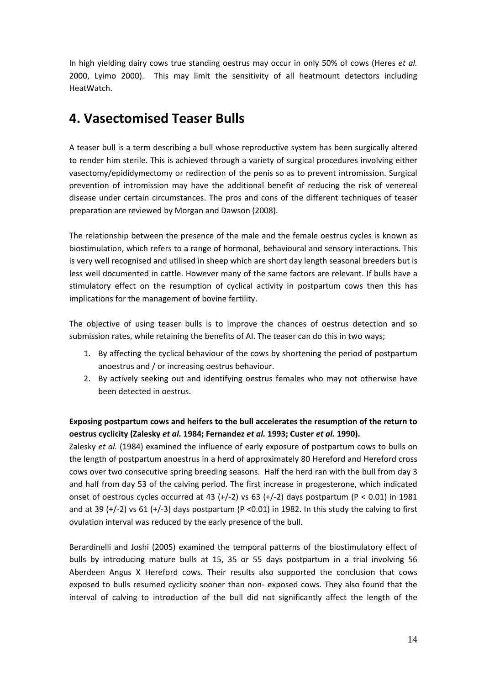In high yielding dairy cows true standing oestrus may occur in only 50% of cows (Heres *et al.* 2000, Lyimo 2000). This may limit the sensitivity of all heatmount detectors including HeatWatch.

# **4. Vasectomised Teaser Bulls**

A teaser bull is a term describing a bull whose reproductive system has been surgically altered to render him sterile. This is achieved through a variety of surgical procedures involving either vasectomy/epididymectomy or redirection of the penis so as to prevent intromission. Surgical prevention of intromission may have the additional benefit of reducing the risk of venereal disease under certain circumstances. The pros and cons of the different techniques of teaser preparation are reviewed by Morgan and Dawson (2008).

The relationship between the presence of the male and the female oestrus cycles is known as biostimulation, which refers to a range of hormonal, behavioural and sensory interactions. This is very well recognised and utilised in sheep which are short day length seasonal breeders but is less well documented in cattle. However many of the same factors are relevant. If bulls have a stimulatory effect on the resumption of cyclical activity in postpartum cows then this has implications for the management of bovine fertility.

The objective of using teaser bulls is to improve the chances of oestrus detection and so submission rates, while retaining the benefits of AI. The teaser can do this in two ways;

- 1. By affecting the cyclical behaviour of the cows by shortening the period of postpartum anoestrus and / or increasing oestrus behaviour.
- 2. By actively seeking out and identifying oestrus females who may not otherwise have been detected in oestrus.

### **Exposing postpartum cows and heifers to the bull accelerates the resumption of the return to oestrus cyclicity (Zalesky** *et al.* **1984; Fernandez** *et al.* **1993; Custer** *et al.* **1990).**

Zalesky *et al.* (1984) examined the influence of early exposure of postpartum cows to bulls on the length of postpartum anoestrus in a herd of approximately 80 Hereford and Hereford cross cows over two consecutive spring breeding seasons. Half the herd ran with the bull from day 3 and half from day 53 of the calving period. The first increase in progesterone, which indicated onset of oestrous cycles occurred at 43  $(+/-2)$  vs 63  $(+/-2)$  days postpartum (P < 0.01) in 1981 and at 39  $(+/-2)$  vs 61  $(+/-3)$  days postpartum (P <0.01) in 1982. In this study the calving to first ovulation interval was reduced by the early presence of the bull.

Berardinelli and Joshi (2005) examined the temporal patterns of the biostimulatory effect of bulls by introducing mature bulls at 15, 35 or 55 days postpartum in a trial involving 56 Aberdeen Angus X Hereford cows. Their results also supported the conclusion that cows exposed to bulls resumed cyclicity sooner than non‐ exposed cows. They also found that the interval of calving to introduction of the bull did not significantly affect the length of the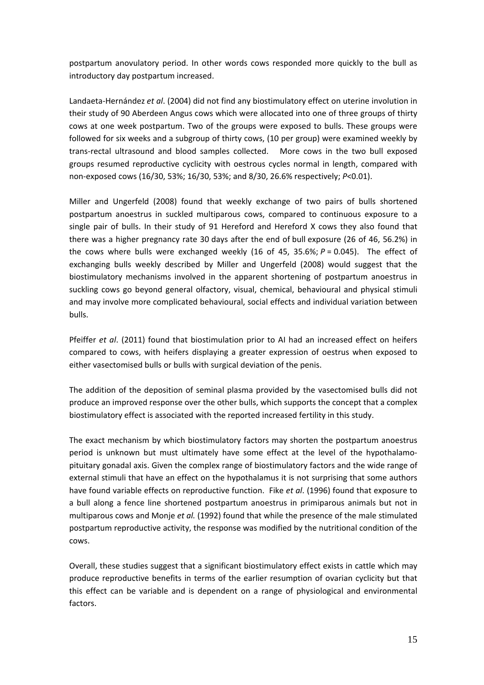postpartum anovulatory period. In other words cows responded more quickly to the bull as introductory day postpartum increased.

Landaeta‐Hernández *et al*. (2004) did not find any biostimulatory effect on uterine involution in their study of 90 Aberdeen Angus cows which were allocated into one of three groups of thirty cows at one week postpartum. Two of the groups were exposed to bulls. These groups were followed for six weeks and a subgroup of thirty cows, (10 per group) were examined weekly by trans‐rectal ultrasound and blood samples collected. More cows in the two bull exposed groups resumed reproductive cyclicity with oestrous cycles normal in length, compared with non‐exposed cows (16/30, 53%; 16/30, 53%; and 8/30, 26.6% respectively; *P*<0.01).

Miller and Ungerfeld (2008) found that weekly exchange of two pairs of bulls shortened postpartum anoestrus in suckled multiparous cows, compared to continuous exposure to a single pair of bulls. In their study of 91 Hereford and Hereford X cows they also found that there was a higher pregnancy rate 30 days after the end of bull exposure (26 of 46, 56.2%) in the cows where bulls were exchanged weekly  $(16 \text{ of } 45, 35.6\%; P = 0.045)$ . The effect of exchanging bulls weekly described by Miller and Ungerfeld (2008) would suggest that the biostimulatory mechanisms involved in the apparent shortening of postpartum anoestrus in suckling cows go beyond general olfactory, visual, chemical, behavioural and physical stimuli and may involve more complicated behavioural, social effects and individual variation between bulls.

Pfeiffer *et al*. (2011) found that biostimulation prior to AI had an increased effect on heifers compared to cows, with heifers displaying a greater expression of oestrus when exposed to either vasectomised bulls or bulls with surgical deviation of the penis.

The addition of the deposition of seminal plasma provided by the vasectomised bulls did not produce an improved response over the other bulls, which supports the concept that a complex biostimulatory effect is associated with the reported increased fertility in this study.

The exact mechanism by which biostimulatory factors may shorten the postpartum anoestrus period is unknown but must ultimately have some effect at the level of the hypothalamopituitary gonadal axis. Given the complex range of biostimulatory factors and the wide range of external stimuli that have an effect on the hypothalamus it is not surprising that some authors have found variable effects on reproductive function. Fike *et al*. (1996) found that exposure to a bull along a fence line shortened postpartum anoestrus in primiparous animals but not in multiparous cows and Monje *et al.* (1992) found that while the presence of the male stimulated postpartum reproductive activity, the response was modified by the nutritional condition of the cows.

Overall, these studies suggest that a significant biostimulatory effect exists in cattle which may produce reproductive benefits in terms of the earlier resumption of ovarian cyclicity but that this effect can be variable and is dependent on a range of physiological and environmental factors.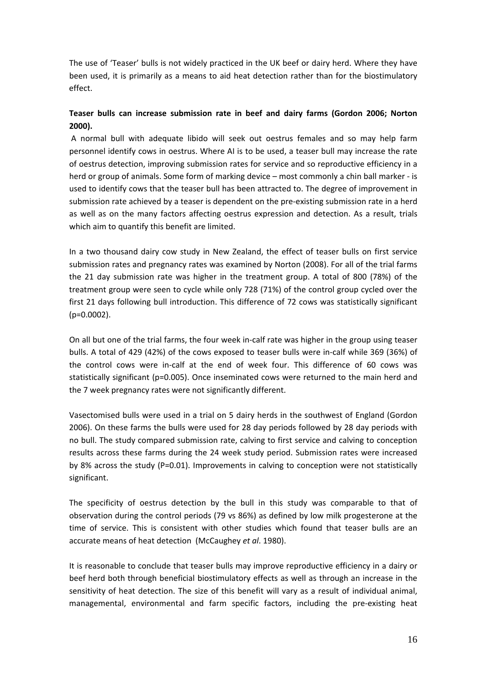The use of 'Teaser' bulls is not widely practiced in the UK beef or dairy herd. Where they have been used, it is primarily as a means to aid heat detection rather than for the biostimulatory effect.

### **Teaser bulls can increase submission rate in beef and dairy farms (Gordon 2006; Norton 2000).**

A normal bull with adequate libido will seek out oestrus females and so may help farm personnel identify cows in oestrus. Where AI is to be used, a teaser bull may increase the rate of oestrus detection, improving submission rates for service and so reproductive efficiency in a herd or group of animals. Some form of marking device – most commonly a chin ball marker ‐ is used to identify cows that the teaser bull has been attracted to. The degree of improvement in submission rate achieved by a teaser is dependent on the pre-existing submission rate in a herd as well as on the many factors affecting oestrus expression and detection. As a result, trials which aim to quantify this benefit are limited.

In a two thousand dairy cow study in New Zealand, the effect of teaser bulls on first service submission rates and pregnancy rates was examined by Norton (2008). For all of the trial farms the 21 day submission rate was higher in the treatment group. A total of 800 (78%) of the treatment group were seen to cycle while only 728 (71%) of the control group cycled over the first 21 days following bull introduction. This difference of 72 cows was statistically significant (p=0.0002).

On all but one of the trial farms, the four week in‐calf rate was higher in the group using teaser bulls. A total of 429 (42%) of the cows exposed to teaser bulls were in‐calf while 369 (36%) of the control cows were in-calf at the end of week four. This difference of 60 cows was statistically significant (p=0.005). Once inseminated cows were returned to the main herd and the 7 week pregnancy rates were not significantly different.

Vasectomised bulls were used in a trial on 5 dairy herds in the southwest of England (Gordon 2006). On these farms the bulls were used for 28 day periods followed by 28 day periods with no bull. The study compared submission rate, calving to first service and calving to conception results across these farms during the 24 week study period. Submission rates were increased by 8% across the study (P=0.01). Improvements in calving to conception were not statistically significant.

The specificity of oestrus detection by the bull in this study was comparable to that of observation during the control periods (79 vs 86%) as defined by low milk progesterone at the time of service. This is consistent with other studies which found that teaser bulls are an accurate means of heat detection [\(McCaughey](http://veterinaryrecord.bmj.com/search?author1=WJ+McCaughey&sortspec=date&submit=Submit) *et al*. 1980).

It is reasonable to conclude that teaser bulls may improve reproductive efficiency in a dairy or beef herd both through beneficial biostimulatory effects as well as through an increase in the sensitivity of heat detection. The size of this benefit will vary as a result of individual animal, managemental, environmental and farm specific factors, including the pre‐existing heat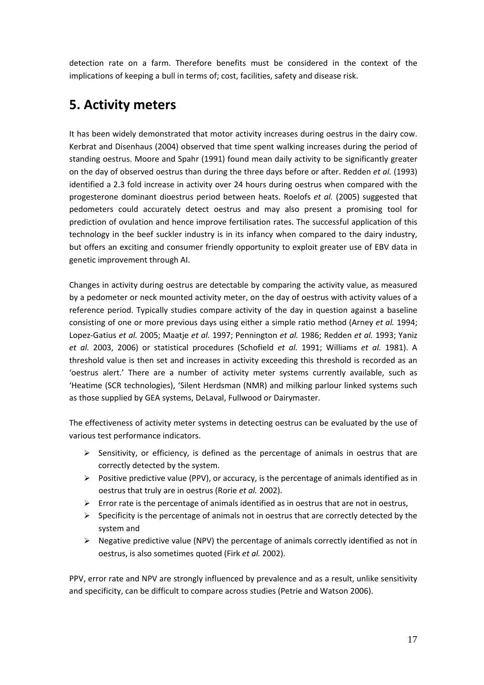detection rate on a farm. Therefore benefits must be considered in the context of the implications of keeping a bull in terms of; cost, facilities, safety and disease risk.

# **5. Activity meters**

It has been widely demonstrated that motor activity increases during oestrus in the dairy cow. Kerbrat and Disenhaus (2004) observed that time spent walking increases during the period of standing oestrus. Moore and Spahr (1991) found mean daily activity to be significantly greater on the day of observed oestrus than during the three days before or after. Redden *et al.* (1993) identified a 2.3 fold increase in activity over 24 hours during oestrus when compared with the progesterone dominant dioestrus period between heats. Roelofs *et al.* (2005) suggested that pedometers could accurately detect oestrus and may also present a promising tool for prediction of ovulation and hence improve fertilisation rates. The successful application of this technology in the beef suckler industry is in its infancy when compared to the dairy industry, but offers an exciting and consumer friendly opportunity to exploit greater use of EBV data in genetic improvement through AI.

Changes in activity during oestrus are detectable by comparing the activity value, as measured by a pedometer or neck mounted activity meter, on the day of oestrus with activity values of a reference period. Typically studies compare activity of the day in question against a baseline consisting of one or more previous days using either a simple ratio method (Arney *et al.* 1994; Lopez‐Gatius *et al.* 2005; Maatje *et al.* 1997; Pennington *et al.* 1986; Redden *et al.* 1993; Yaniz *et al.* 2003, 2006) or statistical procedures (Schofield *et al.* 1991; Williams *et al.* 1981). A threshold value is then set and increases in activity exceeding this threshold is recorded as an 'oestrus alert.' There are a number of activity meter systems currently available, such as 'Heatime (SCR technologies), 'Silent Herdsman (NMR) and milking parlour linked systems such as those supplied by GEA systems, DeLaval, Fullwood or Dairymaster.

The effectiveness of activity meter systems in detecting oestrus can be evaluated by the use of various test performance indicators.

- $\triangleright$  Sensitivity, or efficiency, is defined as the percentage of animals in oestrus that are correctly detected by the system.
- $\triangleright$  Positive predictive value (PPV), or accuracy, is the percentage of animals identified as in oestrus that truly are in oestrus (Rorie *et al.* 2002).
- $\triangleright$  Error rate is the percentage of animals identified as in oestrus that are not in oestrus,
- $\triangleright$  Specificity is the percentage of animals not in oestrus that are correctly detected by the system and
- $\triangleright$  Negative predictive value (NPV) the percentage of animals correctly identified as not in oestrus, is also sometimes quoted (Firk *et al.* 2002).

PPV, error rate and NPV are strongly influenced by prevalence and as a result, unlike sensitivity and specificity, can be difficult to compare across studies (Petrie and Watson 2006).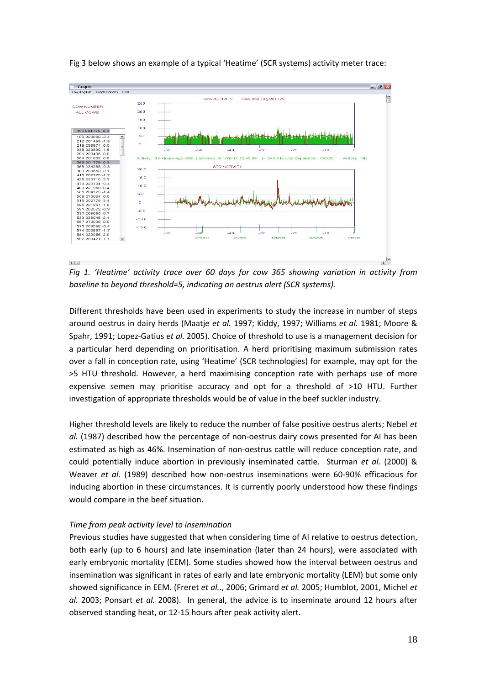

Fig 3 below shows an example of a typical 'Heatime' (SCR systems) activity meter trace:

*Fig 1. 'Heatime' activity trace over 60 days for cow 365 showing variation in activity from baseline to beyond threshold=5, indicating an oestrus alert (SCR systems).*

Different thresholds have been used in experiments to study the increase in number of steps around oestrus in dairy herds (Maatje *et al.* 1997; Kiddy, 1997; Williams *et al.* 1981; Moore & Spahr, 1991; Lopez‐Gatius *et al.* 2005). Choice of threshold to use is a management decision for a particular herd depending on prioritisation. A herd prioritising maximum submission rates over a fall in conception rate, using 'Heatime' (SCR technologies) for example, may opt for the >5 HTU threshold. However, a herd maximising conception rate with perhaps use of more expensive semen may prioritise accuracy and opt for a threshold of >10 HTU. Further investigation of appropriate thresholds would be of value in the beef suckler industry.

Higher threshold levels are likely to reduce the number of false positive oestrus alerts; Nebel *et al.* (1987) described how the percentage of non-oestrus dairy cows presented for AI has been estimated as high as 46%. Insemination of non‐oestrus cattle will reduce conception rate, and could potentially induce abortion in previously inseminated cattle. Sturman *et al.* (2000) & Weaver *et al.* (1989) described how non‐oestrus inseminations were 60‐90% efficacious for inducing abortion in these circumstances. It is currently poorly understood how these findings would compare in the beef situation.

### *Time from peak activity level to insemination*

Previous studies have suggested that when considering time of AI relative to oestrus detection, both early (up to 6 hours) and late insemination (later than 24 hours), were associated with early embryonic mortality (EEM). Some studies showed how the interval between oestrus and insemination was significant in rates of early and late embryonic mortality (LEM) but some only showed significance in EEM. (Freret *et al.*., 2006; Grimard *et al.* 2005; Humblot, 2001, Michel *et al.* 2003; Ponsart *et al.* 2008). In general, the advice is to inseminate around 12 hours after observed standing heat, or 12‐15 hours after peak activity alert.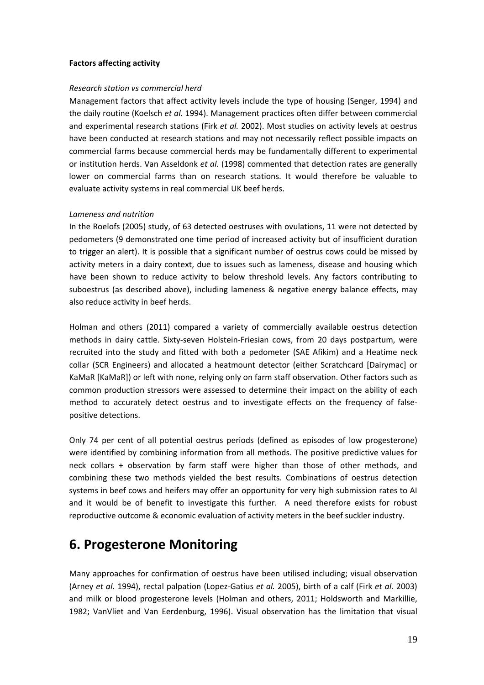### **Factors affecting activity**

### *Research station vs commercial herd*

Management factors that affect activity levels include the type of housing (Senger, 1994) and the daily routine (Koelsch *et al.* 1994). Management practices often differ between commercial and experimental research stations (Firk *et al.* 2002). Most studies on activity levels at oestrus have been conducted at research stations and may not necessarily reflect possible impacts on commercial farms because commercial herds may be fundamentally different to experimental or institution herds. Van Asseldonk *et al.* (1998) commented that detection rates are generally lower on commercial farms than on research stations. It would therefore be valuable to evaluate activity systems in real commercial UK beef herds.

### *Lameness and nutrition*

In the Roelofs (2005) study, of 63 detected oestruses with ovulations, 11 were not detected by pedometers (9 demonstrated one time period of increased activity but of insufficient duration to trigger an alert). It is possible that a significant number of oestrus cows could be missed by activity meters in a dairy context, due to issues such as lameness, disease and housing which have been shown to reduce activity to below threshold levels. Any factors contributing to suboestrus (as described above), including lameness & negative energy balance effects, may also reduce activity in beef herds.

Holman and others (2011) compared a variety of commercially available oestrus detection methods in dairy cattle. Sixty‐seven Holstein‐Friesian cows, from 20 days postpartum, were recruited into the study and fitted with both a pedometer (SAE Afikim) and a Heatime neck collar (SCR Engineers) and allocated a heatmount detector (either Scratchcard [Dairymac] or KaMaR [KaMaR]) or left with none, relying only on farm staff observation. Other factors such as common production stressors were assessed to determine their impact on the ability of each method to accurately detect oestrus and to investigate effects on the frequency of falsepositive detections.

Only 74 per cent of all potential oestrus periods (defined as episodes of low progesterone) were identified by combining information from all methods. The positive predictive values for neck collars + observation by farm staff were higher than those of other methods, and combining these two methods yielded the best results. Combinations of oestrus detection systems in beef cows and heifers may offer an opportunity for very high submission rates to AI and it would be of benefit to investigate this further. A need therefore exists for robust reproductive outcome & economic evaluation of activity meters in the beef suckler industry.

## **6. Progesterone Monitoring**

Many approaches for confirmation of oestrus have been utilised including; visual observation (Arney *et al.* 1994), rectal palpation (Lopez‐Gatius *et al.* 2005), birth of a calf (Firk *et al.* 2003) and milk or blood progesterone levels (Holman and others, 2011; Holdsworth and Markillie, 1982; VanVliet and Van Eerdenburg, 1996). Visual observation has the limitation that visual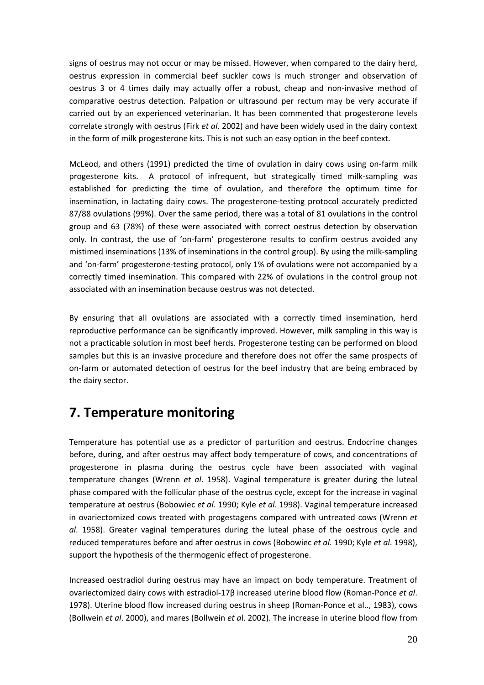signs of oestrus may not occur or may be missed. However, when compared to the dairy herd, oestrus expression in commercial beef suckler cows is much stronger and observation of oestrus 3 or 4 times daily may actually offer a robust, cheap and non‐invasive method of comparative oestrus detection. Palpation or ultrasound per rectum may be very accurate if carried out by an experienced veterinarian. It has been commented that progesterone levels correlate strongly with oestrus (Firk *et al.* 2002) and have been widely used in the dairy context in the form of milk progesterone kits. This is not such an easy option in the beef context.

McLeod, and others (1991) predicted the time of ovulation in dairy cows using on‐farm milk progesterone kits. A protocol of infrequent, but strategically timed milk‐sampling was established for predicting the time of ovulation, and therefore the optimum time for insemination, in lactating dairy cows. The progesterone‐testing protocol accurately predicted 87/88 ovulations (99%). Over the same period, there was a total of 81 ovulations in the control group and 63 (78%) of these were associated with correct oestrus detection by observation only. In contrast, the use of 'on‐farm' progesterone results to confirm oestrus avoided any mistimed inseminations (13% of inseminations in the control group). By using the milk‐sampling and 'on‐farm' progesterone‐testing protocol, only 1% of ovulations were not accompanied by a correctly timed insemination. This compared with 22% of ovulations in the control group not associated with an insemination because oestrus was not detected.

By ensuring that all ovulations are associated with a correctly timed insemination, herd reproductive performance can be significantly improved. However, milk sampling in this way is not a practicable solution in most beef herds. Progesterone testing can be performed on blood samples but this is an invasive procedure and therefore does not offer the same prospects of on‐farm or automated detection of oestrus for the beef industry that are being embraced by the dairy sector.

# **7. Temperature monitoring**

Temperature has potential use as a predictor of parturition and oestrus. Endocrine changes before, during, and after oestrus may affect body temperature of cows, and concentrations of progesterone in plasma during the oestrus cycle have been associated with vaginal temperature changes (Wrenn *et al*. 1958). Vaginal temperature is greater during the luteal phase compared with the follicular phase of the oestrus cycle, except for the increase in vaginal temperature at oestrus (Bobowiec *et al*. 1990; Kyle *et al*. 1998). Vaginal temperature increased in ovariectomized cows treated with progestagens compared with untreated cows (Wrenn *et al*. 1958). Greater vaginal temperatures during the luteal phase of the oestrous cycle and reduced temperatures before and after oestrus in cows (Bobowiec *et al*. 1990; Kyle *et al*. 1998), support the hypothesis of the thermogenic effect of progesterone.

Increased oestradiol during oestrus may have an impact on body temperature. Treatment of ovariectomized dairy cows with estradiol‐17β increased uterine blood flow (Roman‐Ponce *et al*. 1978). Uterine blood flow increased during oestrus in sheep (Roman‐Ponce et al.., 1983), cows (Bollwein *et al*. 2000), and mares (Bollwein *et a*l. 2002). The increase in uterine blood flow from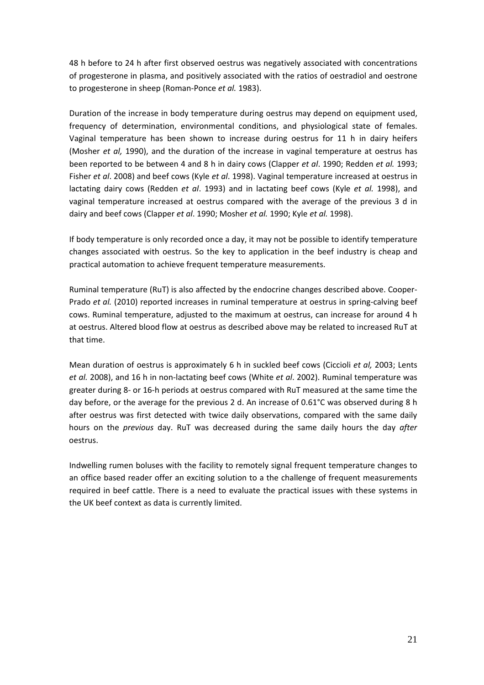48 h before to 24 h after first observed oestrus was negatively associated with concentrations of progesterone in plasma, and positively associated with the ratios of oestradiol and oestrone to progesterone in sheep (Roman‐Ponce *et al.* 1983).

Duration of the increase in body temperature during oestrus may depend on equipment used, frequency of determination, environmental conditions, and physiological state of females. Vaginal temperature has been shown to increase during oestrus for 11 h in dairy heifers (Mosher *et al,* 1990), and the duration of the increase in vaginal temperature at oestrus has been reported to be between 4 and 8 h in dairy cows (Clapper *et al*. 1990; Redden *et al.* 1993; Fisher *et al*. 2008) and beef cows (Kyle *et al*. 1998). Vaginal temperature increased at oestrus in lactating dairy cows (Redden *et al*. 1993) and in lactating beef cows (Kyle *et al.* 1998), and vaginal temperature increased at oestrus compared with the average of the previous 3 d in dairy and beef cows (Clapper *et al*. 1990; Mosher *et al.* 1990; Kyle *et al.* 1998).

If body temperature is only recorded once a day, it may not be possible to identify temperature changes associated with oestrus. So the key to application in the beef industry is cheap and practical automation to achieve frequent temperature measurements.

Ruminal temperature (RuT) is also affected by the endocrine changes described above. Cooper‐ Prado *et al.* (2010) reported increases in ruminal temperature at oestrus in spring‐calving beef cows. Ruminal temperature, adjusted to the maximum at oestrus, can increase for around 4 h at oestrus. Altered blood flow at oestrus as described above may be related to increased RuT at that time.

Mean duration of oestrus is approximately 6 h in suckled beef cows (Ciccioli *et al,* 2003; Lents *et al.* 2008), and 16 h in non‐lactating beef cows (White *et al*. 2002). Ruminal temperature was greater during 8‐ or 16‐h periods at oestrus compared with RuT measured at the same time the day before, or the average for the previous 2 d. An increase of 0.61°C was observed during 8 h after oestrus was first detected with twice daily observations, compared with the same daily hours on the *previous* day. RuT was decreased during the same daily hours the day *after* oestrus.

Indwelling rumen boluses with the facility to remotely signal frequent temperature changes to an office based reader offer an exciting solution to a the challenge of frequent measurements required in beef cattle. There is a need to evaluate the practical issues with these systems in the UK beef context as data is currently limited.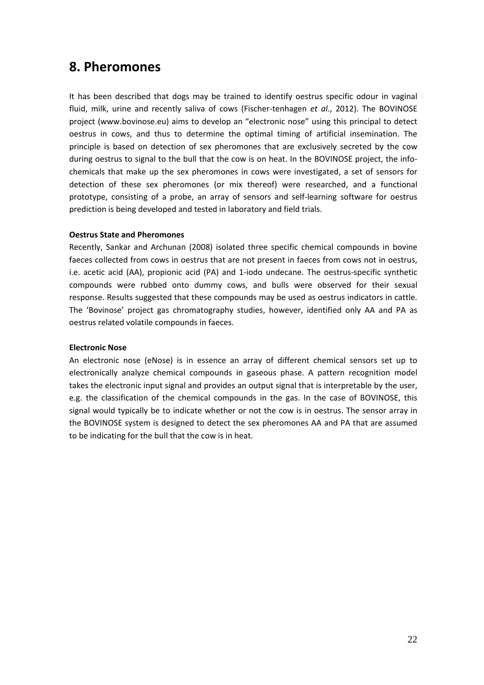### **8. Pheromones**

It has been described that dogs may be trained to identify oestrus specific odour in vaginal fluid, milk, urine and recently saliva of cows (Fischer-tenhagen *et al.*, 2012). The BOVINOSE project (www.bovinose.eu) aims to develop an "electronic nose" using this principal to detect oestrus in cows, and thus to determine the optimal timing of artificial insemination. The principle is based on detection of sex pheromones that are exclusively secreted by the cow during oestrus to signal to the bull that the cow is on heat. In the BOVINOSE project, the infochemicals that make up the sex pheromones in cows were investigated, a set of sensors for detection of these sex pheromones (or mix thereof) were researched, and a functional prototype, consisting of a probe, an array of sensors and self‐learning software for oestrus prediction is being developed and tested in laboratory and field trials.

### **Oestrus State and Pheromones**

Recently, Sankar and Archunan (2008) isolated three specific chemical compounds in bovine faeces collected from cows in oestrus that are not present in faeces from cows not in oestrus, i.e. acetic acid (AA), propionic acid (PA) and 1‐iodo undecane. The oestrus‐specific synthetic compounds were rubbed onto dummy cows, and bulls were observed for their sexual response. Results suggested that these compounds may be used as oestrus indicators in cattle. The 'Bovinose' project gas chromatography studies, however, identified only AA and PA as oestrus related volatile compounds in faeces.

### **Electronic Nose**

An electronic nose (eNose) is in essence an array of different chemical sensors set up to electronically analyze chemical compounds in gaseous phase. A pattern recognition model takes the electronic input signal and provides an output signal that is interpretable by the user, e.g. the classification of the chemical compounds in the gas. In the case of BOVINOSE, this signal would typically be to indicate whether or not the cow is in oestrus. The sensor array in the BOVINOSE system is designed to detect the sex pheromones AA and PA that are assumed to be indicating for the bull that the cow is in heat.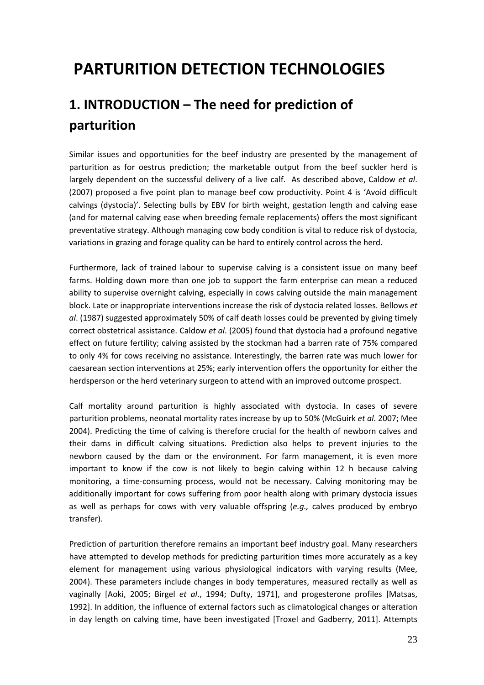# **PARTURITION DETECTION TECHNOLOGIES**

# **1. INTRODUCTION – The need for prediction of parturition**

Similar issues and opportunities for the beef industry are presented by the management of parturition as for oestrus prediction; the marketable output from the beef suckler herd is largely dependent on the successful delivery of a live calf. As described above, Caldow *et al*. (2007) proposed a five point plan to manage beef cow productivity. Point 4 is 'Avoid difficult calvings (dystocia)'. Selecting bulls by EBV for birth weight, gestation length and calving ease (and for maternal calving ease when breeding female replacements) offers the most significant preventative strategy. Although managing cow body condition is vital to reduce risk of dystocia, variations in grazing and forage quality can be hard to entirely control across the herd.

Furthermore, lack of trained labour to supervise calving is a consistent issue on many beef farms. Holding down more than one job to support the farm enterprise can mean a reduced ability to supervise overnight calving, especially in cows calving outside the main management block. Late or inappropriate interventions increase the risk of dystocia related losses. Bellows *et al*. (1987) suggested approximately 50% of calf death losses could be prevented by giving timely correct obstetrical assistance. Caldow *et al*. (2005) found that dystocia had a profound negative effect on future fertility; calving assisted by the stockman had a barren rate of 75% compared to only 4% for cows receiving no assistance. Interestingly, the barren rate was much lower for caesarean section interventions at 25%; early intervention offers the opportunity for either the herdsperson or the herd veterinary surgeon to attend with an improved outcome prospect.

Calf mortality around parturition is highly associated with dystocia. In cases of severe parturition problems, neonatal mortality rates increase by up to 50% (McGuirk *et al*. 2007; Mee 2004). Predicting the time of calving is therefore crucial for the health of newborn calves and their dams in difficult calving situations. Prediction also helps to prevent injuries to the newborn caused by the dam or the environment. For farm management, it is even more important to know if the cow is not likely to begin calving within 12 h because calving monitoring, a time‐consuming process, would not be necessary. Calving monitoring may be additionally important for cows suffering from poor health along with primary dystocia issues as well as perhaps for cows with very valuable offspring (*e.g.,* calves produced by embryo transfer).

Prediction of parturition therefore remains an important beef industry goal. Many researchers have attempted to develop methods for predicting parturition times more accurately as a key element for management using various physiological indicators with varying results (Mee, 2004). These parameters include changes in body temperatures, measured rectally as well as vaginally [Aoki, 2005; Birgel *et al*., 1994; Dufty, 1971], and progesterone profiles [Matsas, 1992]. In addition, the influence of external factors such as climatological changes or alteration in day length on calving time, have been investigated [Troxel and Gadberry, 2011]. Attempts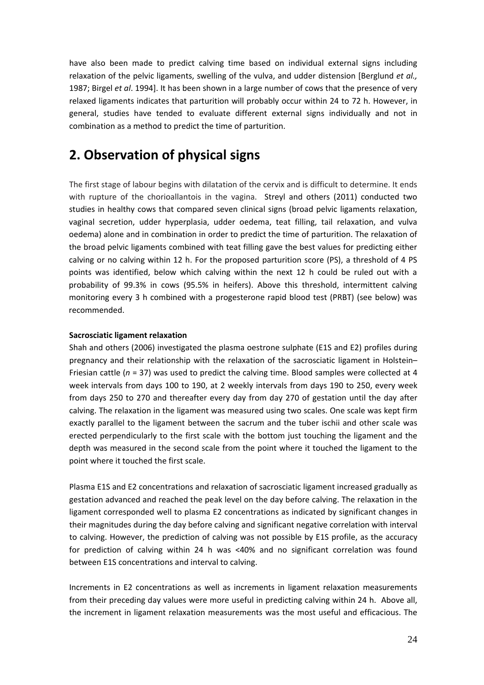have also been made to predict calving time based on individual external signs including relaxation of the pelvic ligaments, swelling of the vulva, and udder distension [Berglund *et al.,* 1987; Birgel *et al*. 1994]. It has been shown in a large number of cows that the presence of very relaxed ligaments indicates that parturition will probably occur within 24 to 72 h. However, in general, studies have tended to evaluate different external signs individually and not in combination as a method to predict the time of parturition.

# **2. Observation of physical signs**

The first stage of labour begins with dilatation of the cervix and is difficult to determine. It ends with rupture of the chorioallantois in the vagina. Streyl and others (2011) conducted two studies in healthy cows that compared seven clinical signs (broad pelvic ligaments relaxation, vaginal secretion, udder hyperplasia, udder oedema, teat filling, tail relaxation, and vulva oedema) alone and in combination in order to predict the time of parturition. The relaxation of the broad pelvic ligaments combined with teat filling gave the best values for predicting either calving or no calving within 12 h. For the proposed parturition score (PS), a threshold of 4 PS points was identified, below which calving within the next 12 h could be ruled out with a probability of 99.3% in cows (95.5% in heifers). Above this threshold, intermittent calving monitoring every 3 h combined with a progesterone rapid blood test (PRBT) (see below) was recommended.

### **Sacrosciatic ligament relaxation**

Shah and others (2006) investigated the plasma oestrone sulphate (E1S and E2) profiles during pregnancy and their relationship with the relaxation of the sacrosciatic ligament in Holstein– Friesian cattle (*n* = 37) was used to predict the calving time. Blood samples were collected at 4 week intervals from days 100 to 190, at 2 weekly intervals from days 190 to 250, every week from days 250 to 270 and thereafter every day from day 270 of gestation until the day after calving. The relaxation in the ligament was measured using two scales. One scale was kept firm exactly parallel to the ligament between the sacrum and the tuber ischii and other scale was erected perpendicularly to the first scale with the bottom just touching the ligament and the depth was measured in the second scale from the point where it touched the ligament to the point where it touched the first scale.

Plasma E1S and E2 concentrations and relaxation of sacrosciatic ligament increased gradually as gestation advanced and reached the peak level on the day before calving. The relaxation in the ligament corresponded well to plasma E2 concentrations as indicated by significant changes in their magnitudes during the day before calving and significant negative correlation with interval to calving. However, the prediction of calving was not possible by E1S profile, as the accuracy for prediction of calving within 24 h was <40% and no significant correlation was found between E1S concentrations and interval to calving.

Increments in E2 concentrations as well as increments in ligament relaxation measurements from their preceding day values were more useful in predicting calving within 24 h. Above all, the increment in ligament relaxation measurements was the most useful and efficacious. The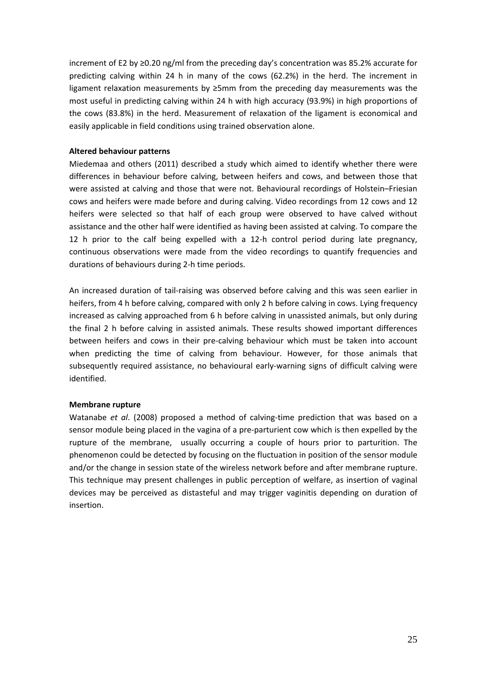increment of E2 by ≥0.20 ng/ml from the preceding day's concentration was 85.2% accurate for predicting calving within 24 h in many of the cows (62.2%) in the herd. The increment in ligament relaxation measurements by ≥5mm from the preceding day measurements was the most useful in predicting calving within 24 h with high accuracy (93.9%) in high proportions of the cows (83.8%) in the herd. Measurement of relaxation of the ligament is economical and easily applicable in field conditions using trained observation alone.

### **Altered behaviour patterns**

Miedemaa and others (2011) described a study which aimed to identify whether there were differences in behaviour before calving, between heifers and cows, and between those that were assisted at calving and those that were not. Behavioural recordings of Holstein–Friesian cows and heifers were made before and during calving. Video recordings from 12 cows and 12 heifers were selected so that half of each group were observed to have calved without assistance and the other half were identified as having been assisted at calving. To compare the 12 h prior to the calf being expelled with a 12‐h control period during late pregnancy, continuous observations were made from the video recordings to quantify frequencies and durations of behaviours during 2‐h time periods.

An increased duration of tail‐raising was observed before calving and this was seen earlier in heifers, from 4 h before calving, compared with only 2 h before calving in cows. Lying frequency increased as calving approached from 6 h before calving in unassisted animals, but only during the final 2 h before calving in assisted animals. These results showed important differences between heifers and cows in their pre‐calving behaviour which must be taken into account when predicting the time of calving from behaviour. However, for those animals that subsequently required assistance, no behavioural early‐warning signs of difficult calving were identified.

### **Membrane rupture**

Watanabe *et al*. (2008) proposed a method of calving‐time prediction that was based on a sensor module being placed in the vagina of a pre-parturient cow which is then expelled by the rupture of the membrane, usually occurring a couple of hours prior to parturition. The phenomenon could be detected by focusing on the fluctuation in position of the sensor module and/or the change in session state of the wireless network before and after membrane rupture. This technique may present challenges in public perception of welfare, as insertion of vaginal devices may be perceived as distasteful and may trigger vaginitis depending on duration of insertion.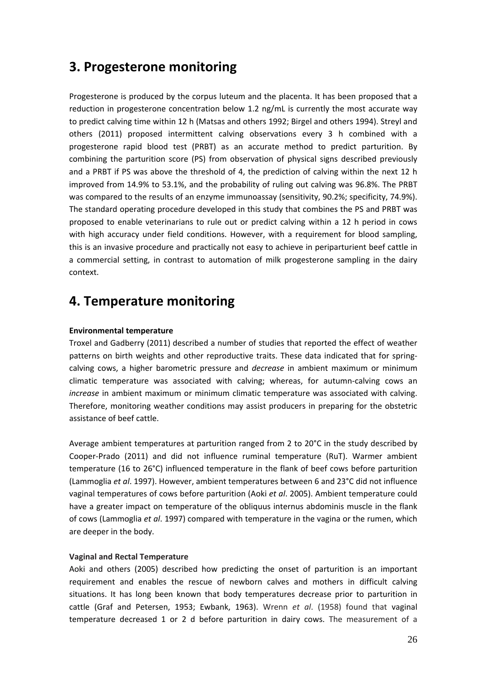# **3. Progesterone monitoring**

Progesterone is produced by the corpus luteum and the placenta. It has been proposed that a reduction in progesterone concentration below 1.2 ng/mL is currently the most accurate way to predict calving time within 12 h (Matsas and others 1992; Birgel and others 1994). Streyl and others (2011) proposed intermittent calving observations every 3 h combined with a progesterone rapid blood test (PRBT) as an accurate method to predict parturition. By combining the parturition score (PS) from observation of physical signs described previously and a PRBT if PS was above the threshold of 4, the prediction of calving within the next 12 h improved from 14.9% to 53.1%, and the probability of ruling out calving was 96.8%. The PRBT was compared to the results of an enzyme immunoassay (sensitivity, 90.2%; specificity, 74.9%). The standard operating procedure developed in this study that combines the PS and PRBT was proposed to enable veterinarians to rule out or predict calving within a 12 h period in cows with high accuracy under field conditions. However, with a requirement for blood sampling, this is an invasive procedure and practically not easy to achieve in periparturient beef cattle in a commercial setting, in contrast to automation of milk progesterone sampling in the dairy context.

# **4. Temperature monitoring**

### **Environmental temperature**

Troxel and Gadberry (2011) described a number of studies that reported the effect of weather patterns on birth weights and other reproductive traits. These data indicated that for spring‐ calving cows, a higher barometric pressure and *decrease* in ambient maximum or minimum climatic temperature was associated with calving; whereas, for autumn‐calving cows an *increase* in ambient maximum or minimum climatic temperature was associated with calving. Therefore, monitoring weather conditions may assist producers in preparing for the obstetric assistance of beef cattle.

Average ambient temperatures at parturition ranged from 2 to 20°C in the study described by Cooper‐Prado (2011) and did not influence ruminal temperature (RuT). Warmer ambient temperature (16 to 26°C) influenced temperature in the flank of beef cows before parturition (Lammoglia *et al*. 1997). However, ambient temperatures between 6 and 23°C did not influence vaginal temperatures of cows before parturition (Aoki *et al*. 2005). Ambient temperature could have a greater impact on temperature of the obliquus internus abdominis muscle in the flank of cows (Lammoglia *et al*. 1997) compared with temperature in the vagina or the rumen, which are deeper in the body.

### **Vaginal and Rectal Temperature**

Aoki and others (2005) described how predicting the onset of parturition is an important requirement and enables the rescue of newborn calves and mothers in difficult calving situations. It has long been known that body temperatures decrease prior to parturition in cattle (Graf and Petersen, 1953; Ewbank, 1963). Wrenn *et al*. (1958) found that vaginal temperature decreased 1 or 2 d before parturition in dairy cows. The measurement of a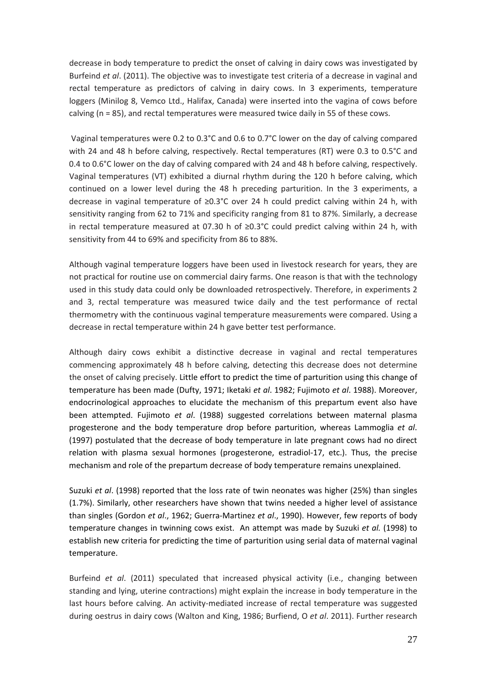decrease in body temperature to predict the onset of calving in dairy cows was investigated by Burfeind *et al*. (2011). The objective was to investigate test criteria of a decrease in vaginal and rectal temperature as predictors of calving in dairy cows. In 3 experiments, temperature loggers (Minilog 8, Vemco Ltd., Halifax, Canada) were inserted into the vagina of cows before calving (n = 85), and rectal temperatures were measured twice daily in 55 of these cows.

Vaginal temperatures were 0.2 to 0.3°C and 0.6 to 0.7°C lower on the day of calving compared with 24 and 48 h before calving, respectively. Rectal temperatures (RT) were 0.3 to 0.5°C and 0.4 to 0.6°C lower on the day of calving compared with 24 and 48 h before calving, respectively. Vaginal temperatures (VT) exhibited a diurnal rhythm during the 120 h before calving, which continued on a lower level during the 48 h preceding parturition. In the 3 experiments, a decrease in vaginal temperature of ≥0.3°C over 24 h could predict calving within 24 h, with sensitivity ranging from 62 to 71% and specificity ranging from 81 to 87%. Similarly, a decrease in rectal temperature measured at 07.30 h of  $≥0.3$ °C could predict calving within 24 h, with sensitivity from 44 to 69% and specificity from 86 to 88%.

Although vaginal temperature loggers have been used in livestock research for years, they are not practical for routine use on commercial dairy farms. One reason is that with the technology used in this study data could only be downloaded retrospectively. Therefore, in experiments 2 and 3, rectal temperature was measured twice daily and the test performance of rectal thermometry with the continuous vaginal temperature measurements were compared. Using a decrease in rectal temperature within 24 h gave better test performance.

Although dairy cows exhibit a distinctive decrease in vaginal and rectal temperatures commencing approximately 48 h before calving, detecting this decrease does not determine the onset of calving precisely. Little effort to predict the time of parturition using this change of temperature has been made (Dufty, 1971; Iketaki *et al*. 1982; Fujimoto *et al*. 1988). Moreover, endocrinological approaches to elucidate the mechanism of this prepartum event also have been attempted. Fujimoto *et al*. (1988) suggested correlations between maternal plasma progesterone and the body temperature drop before parturition, whereas Lammoglia *et al*. (1997) postulated that the decrease of body temperature in late pregnant cows had no direct relation with plasma sexual hormones (progesterone, estradiol-17, etc.). Thus, the precise mechanism and role of the prepartum decrease of body temperature remains unexplained.

Suzuki *et al*. (1998) reported that the loss rate of twin neonates was higher (25%) than singles (1.7%). Similarly, other researchers have shown that twins needed a higher level of assistance than singles (Gordon *et al*., 1962; Guerra‐Martinez *et al*., 1990). However, few reports of body temperature changes in twinning cows exist. An attempt was made by Suzuki *et al.* (1998) to establish new criteria for predicting the time of parturition using serial data of maternal vaginal temperature.

Burfeind *et al*. (2011) speculated that increased physical activity (i.e., changing between standing and lying, uterine contractions) might explain the increase in body temperature in the last hours before calving. An activity‐mediated increase of rectal temperature was suggested during oestrus in dairy cows (Walton and King, 1986; Burfiend, O *et al*. 2011). Further research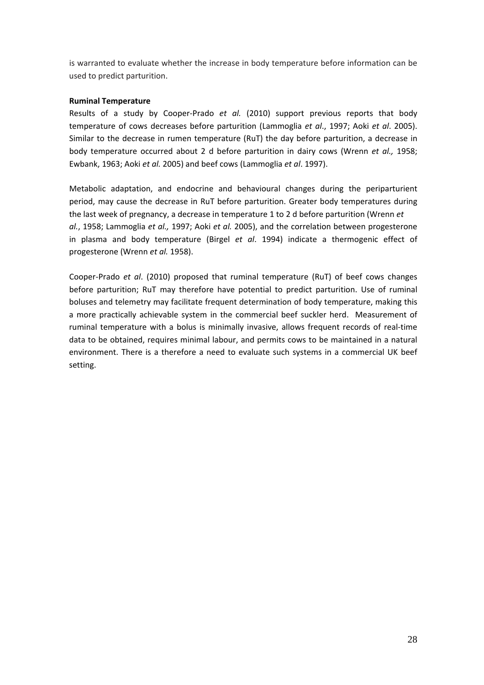is warranted to evaluate whether the increase in body temperature before information can be used to predict parturition.

### **Ruminal Temperature**

Results of a study by Cooper‐Prado *et al.* (2010) support previous reports that body temperature of cows decreases before parturition (Lammoglia *et al*., 1997; Aoki *et al*. 2005). Similar to the decrease in rumen temperature (RuT) the day before parturition, a decrease in body temperature occurred about 2 d before parturition in dairy cows (Wrenn *et al.,* 1958; Ewbank, 1963; Aoki *et al.* 2005) and beef cows (Lammoglia *et al*. 1997).

Metabolic adaptation, and endocrine and behavioural changes during the periparturient period, may cause the decrease in RuT before parturition. Greater body temperatures during the last week of pregnancy, a decrease in temperature 1 to 2 d before parturition (Wrenn *et al.*, 1958; Lammoglia *et al.,* 1997; Aoki *et al.* 2005), and the correlation between progesterone in plasma and body temperature (Birgel *et al*. 1994) indicate a thermogenic effect of progesterone (Wrenn *et al.* 1958).

Cooper‐Prado *et al*. (2010) proposed that ruminal temperature (RuT) of beef cows changes before parturition; RuT may therefore have potential to predict parturition. Use of ruminal boluses and telemetry may facilitate frequent determination of body temperature, making this a more practically achievable system in the commercial beef suckler herd. Measurement of ruminal temperature with a bolus is minimally invasive, allows frequent records of real‐time data to be obtained, requires minimal labour, and permits cows to be maintained in a natural environment. There is a therefore a need to evaluate such systems in a commercial UK beef setting.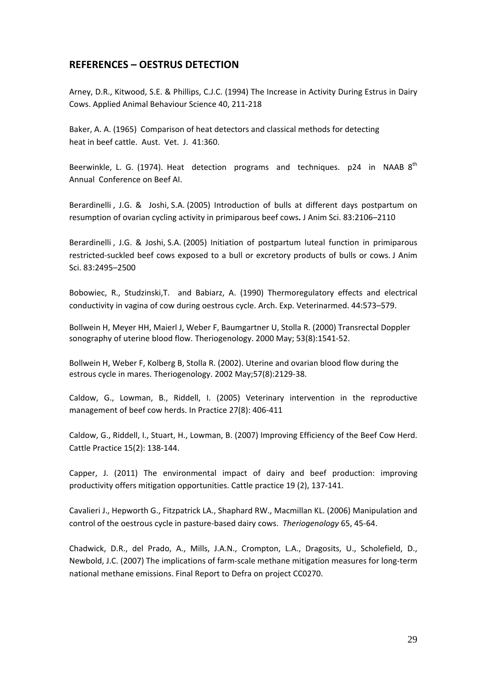### **REFERENCES – OESTRUS DETECTION**

Arney, D.R., Kitwood, S.E. & Phillips, C.J.C. (1994) The Increase in Activity During Estrus in Dairy Cows. Applied Animal Behaviour Science 40, 211‐218

Baker, A. A. (1965) Comparison of heat detectors and classical methods for detecting heat in beef cattle. Aust. Vet. J. 41:360.

Beerwinkle, L. G. (1974). Heat detection programs and techniques.  $p24$  in NAAB  $8<sup>th</sup>$ Annual Conference on Beef AI.

Berardinelli , J.G. & Joshi, S.A. (2005) Introduction of bulls at different days postpartum on resumption of ovarian cycling activity in primiparous beef cows**.** J Anim Sci. 83:2106–2110

Berardinelli , J.G. & Joshi, S.A. (2005) Initiation of postpartum luteal function in primiparous restricted‐suckled beef cows exposed to a bull or excretory products of bulls or cows. J Anim Sci. 83:2495–2500

Bobowiec, R., Studzinski,T. and Babiarz, A. (1990) Thermoregulatory effects and electrical conductivity in vagina of cow during oestrous cycle. Arch. Exp. Veterinarmed. 44:573–579.

[Bollwein](http://www.ncbi.nlm.nih.gov/pubmed?term=Bollwein%20H%5BAuthor%5D&cauthor=true&cauthor_uid=10883842) H, [Meyer](http://www.ncbi.nlm.nih.gov/pubmed?term=Meyer%20HH%5BAuthor%5D&cauthor=true&cauthor_uid=10883842) HH, [Maierl](http://www.ncbi.nlm.nih.gov/pubmed?term=Maierl%20J%5BAuthor%5D&cauthor=true&cauthor_uid=10883842) J, [Weber](http://www.ncbi.nlm.nih.gov/pubmed?term=Weber%20F%5BAuthor%5D&cauthor=true&cauthor_uid=10883842) F, [Baumgartner](http://www.ncbi.nlm.nih.gov/pubmed?term=Baumgartner%20U%5BAuthor%5D&cauthor=true&cauthor_uid=10883842) U, [Stolla](http://www.ncbi.nlm.nih.gov/pubmed?term=Stolla%20R%5BAuthor%5D&cauthor=true&cauthor_uid=10883842) R. (2000) Transrectal Doppler sonography of uterine blood flow. [Theriogenology.](http://www.ncbi.nlm.nih.gov/pubmed/10883842) 2000 May; 53(8):1541‐52.

[Bollwein](http://www.ncbi.nlm.nih.gov/pubmed?term=Bollwei%20H%5BAuthor%5D&cauthor=true&cauthor_uid=12066871) H, [Weber](http://www.ncbi.nlm.nih.gov/pubmed?term=Weber%20F%5BAuthor%5D&cauthor=true&cauthor_uid=12066871) F, [Kolberg](http://www.ncbi.nlm.nih.gov/pubmed?term=Kolberg%20B%5BAuthor%5D&cauthor=true&cauthor_uid=12066871) B, [Stolla](http://www.ncbi.nlm.nih.gov/pubmed?term=Stolla%20R%5BAuthor%5D&cauthor=true&cauthor_uid=12066871) R. (2002). Uterine and ovarian blood flow during the estrous cycle in mares. [Theriogenology.](http://www.ncbi.nlm.nih.gov/pubmed/12066871) 2002 May;57(8):2129‐38.

Caldow, G., Lowman, B., Riddell, I. (2005) Veterinary intervention in the reproductive management of beef cow herds. In Practice 27(8): 406‐411

Caldow, G., Riddell, I., Stuart, H., Lowman, B. (2007) Improving Efficiency of the Beef Cow Herd. Cattle Practice 15(2): 138‐144.

Capper, J. (2011) The environmental impact of dairy and beef production: improving productivity offers mitigation opportunities. Cattle practice 19 (2), 137‐141.

Cavalieri J., Hepworth G., Fitzpatrick LA., Shaphard RW., Macmillan KL. (2006) Manipulation and control of the oestrous cycle in pasture‐based dairy cows. *Theriogenology* 65, 45‐64.

Chadwick, D.R., del Prado, A., Mills, J.A.N., Crompton, L.A., Dragosits, U., Scholefield, D., Newbold, J.C. (2007) The implications of farm‐scale methane mitigation measures for long‐term national methane emissions. Final Report to Defra on project CC0270.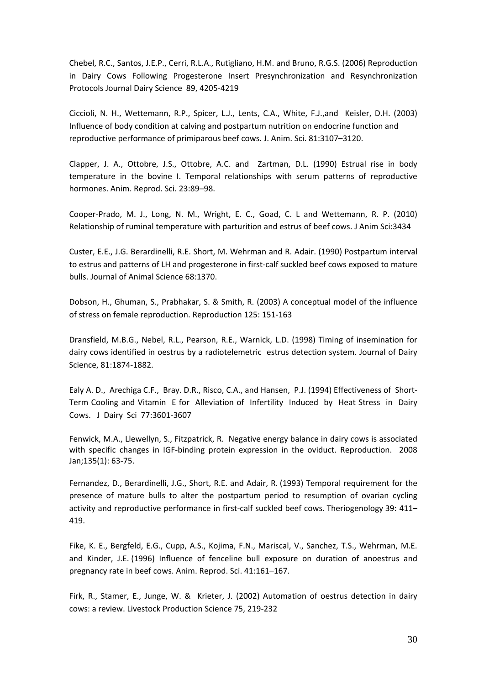Chebel, R.C., Santos, J.E.P., Cerri, R.L.A., Rutigliano, H.M. and Bruno, R.G.S. (2006) Reproduction in Dairy Cows Following Progesterone Insert Presynchronization and Resynchronization Protocols Journal Dairy Science 89, 4205‐4219

Ciccioli, N. H., Wettemann, R.P., Spicer, L.J., Lents, C.A., White, F.J.,and Keisler, D.H. (2003) Influence of body condition at calving and postpartum nutrition on endocrine function and reproductive performance of primiparous beef cows. J. Anim. Sci. 81:3107–3120.

Clapper, J. A., Ottobre, J.S., Ottobre, A.C. and Zartman, D.L. (1990) Estrual rise in body temperature in the bovine I. Temporal relationships with serum patterns of reproductive hormones. Anim. Reprod. Sci. 23:89–98.

Cooper‐Prado, M. J., Long, N. M., Wright, E. C., Goad, C. L and Wettemann, R. P. (2010) Relationship of ruminal temperature with parturition and estrus of beef cows. J Anim Sci:3434

Custer, E.E., J.G. Berardinelli, R.E. Short, M. Wehrman and R. Adair. (1990) Postpartum interval to estrus and patterns of LH and progesterone in first-calf suckled beef cows exposed to mature bulls. Journal of Animal Science 68:1370.

Dobson, H., Ghuman, S., Prabhakar, S. & Smith, R. (2003) A conceptual model of the influence of stress on female reproduction. Reproduction 125: 151‐163

Dransfield, M.B.G., Nebel, R.L., Pearson, R.E., Warnick, L.D. (1998) Timing of insemination for dairy cows identified in oestrus by a radiotelemetric estrus detection system. Journal of Dairy Science, 81:1874‐1882.

Ealy A. D., Arechiga C.F., Bray. D.R., Risco, C.A., and Hansen, P.J. (1994) Effectiveness of Short‐ Term Cooling and Vitamin E for Alleviation of Infertility Induced by Heat Stress in Dairy Cows. J Dairy Sci 77:3601‐3607

Fenwick, M.A., Llewellyn, S., Fitzpatrick, R. Negative energy balance in dairy cows is associated with specific changes in IGF-binding protein expression in the oviduct. Reproduction. 2008 Jan;135(1): 63‐75.

Fernandez, D., Berardinelli, J.G., Short, R.E. and Adair, R. (1993) Temporal requirement for the presence of mature bulls to alter the postpartum period to resumption of ovarian cycling activity and reproductive performance in first-calf suckled beef cows. Theriogenology 39: 411– 419.

Fike, K. E., Bergfeld, E.G., Cupp, A.S., Kojima, F.N., Mariscal, V., Sanchez, T.S., Wehrman, M.E. and Kinder, J.E. (1996) Influence of fenceline bull exposure on duration of anoestrus and pregnancy rate in beef cows. Anim. Reprod. Sci. 41:161–167.

Firk, R., Stamer, E., Junge, W. & Krieter, J. (2002) Automation of oestrus detection in dairy cows: a review. Livestock Production Science 75, 219‐232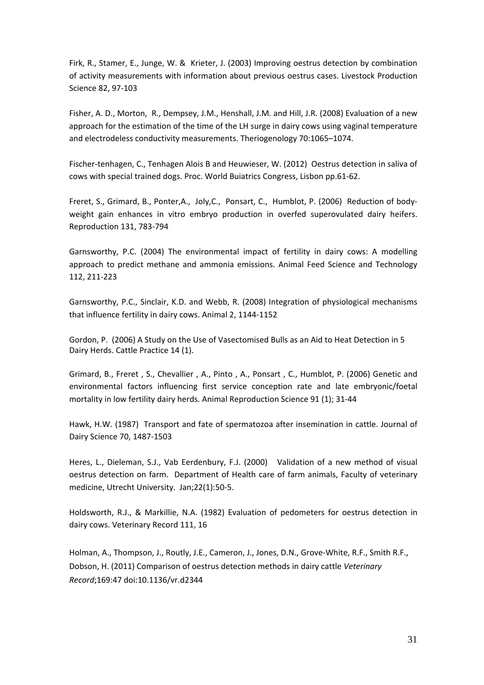Firk, R., Stamer, E., Junge, W. & Krieter, J. (2003) Improving oestrus detection by combination of activity measurements with information about previous oestrus cases. Livestock Production Science 82, 97‐103

Fisher, A. D., Morton, R., Dempsey, J.M., Henshall, J.M. and Hill, J.R. (2008) Evaluation of a new approach for the estimation of the time of the LH surge in dairy cows using vaginal temperature and electrodeless conductivity measurements. Theriogenology 70:1065–1074.

Fischer-tenhagen, C., Tenhagen Alois B and Heuwieser, W. (2012) Oestrus detection in saliva of cows with special trained dogs. Proc. World Buiatrics Congress, Lisbon pp.61‐62.

Freret, S., Grimard, B., Ponter,A., Joly,C., Ponsart, C., Humblot, P. (2006) Reduction of body‐ weight gain enhances in vitro embryo production in overfed superovulated dairy heifers. Reproduction 131, 783‐794

Garnsworthy, P.C. (2004) The environmental impact of fertility in dairy cows: A modelling approach to predict methane and ammonia emissions. Animal Feed Science and Technology 112, 211‐223

Garnsworthy, P.C., Sinclair, K.D. and Webb, R. (2008) Integration of physiological mechanisms that influence fertility in dairy cows. Animal 2, 1144‐1152

Gordon, P. (2006) A Study on the Use of Vasectomised Bulls as an Aid to Heat Detection in 5 Dairy Herds. Cattle Practice 14 (1).

Grimard, B., Freret , S., Chevallier , A., Pinto , A., Ponsart , C., Humblot, P. (2006) Genetic and environmental factors influencing first service conception rate and late embryonic/foetal mortality in low fertility dairy herds. Animal Reproduction Science 91 (1); 31‐44

Hawk, H.W. (1987) Transport and fate of spermatozoa after insemination in cattle. Journal of Dairy Science 70, 1487‐1503

Heres, L., Dieleman, S.J., Vab Eerdenbury, F.J. (2000) Validation of a new method of visual oestrus detection on farm. Department of Health care of farm animals, Faculty of veterinary medicine, Utrecht University. Jan;22(1):50‐5.

Holdsworth, R.J., & Markillie, N.A. (1982) Evaluation of pedometers for oestrus detection in dairy cows. Veterinary Record 111, 16

Holman, [A.](http://veterinaryrecord.bmj.com/search?author1=A.+Holman&sortspec=date&submit=Submit), Thompson, J., Routly, J.E., Cameron, J., Jones, D.N., Grove‐White, R.F., Smith R.F., Dobson, H. (2011) Comparison of oestrus detection methods in dairy cattle *Veterinary Record*;169:47 doi:10.1136/vr.d2344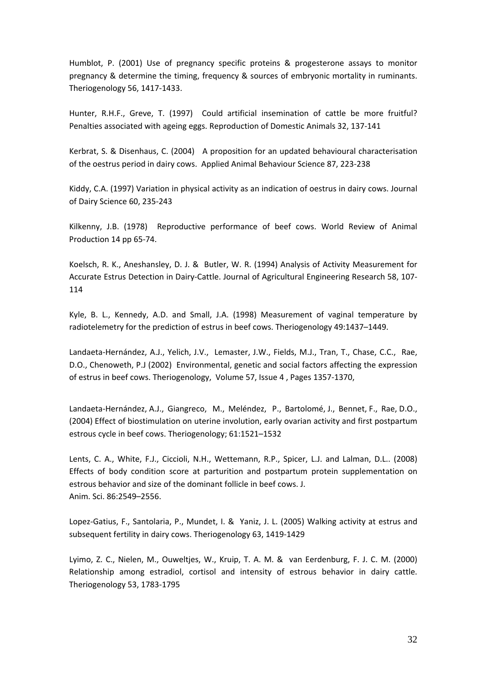Humblot, P. (2001) Use of pregnancy specific proteins & progesterone assays to monitor pregnancy & determine the timing, frequency & sources of embryonic mortality in ruminants. Theriogenology 56, 1417‐1433.

Hunter, R.H.F., Greve, T. (1997) Could artificial insemination of cattle be more fruitful? Penalties associated with ageing eggs. Reproduction of Domestic Animals 32, 137‐141

Kerbrat, S. & Disenhaus, C. (2004) A proposition for an updated behavioural characterisation of the oestrus period in dairy cows. Applied Animal Behaviour Science 87, 223‐238

Kiddy, C.A. (1997) Variation in physical activity as an indication of oestrus in dairy cows. Journal of Dairy Science 60, 235‐243

Kilkenny, J.B. (1978) Reproductive performance of beef cows. World Review of Animal Production 14 pp 65‐74.

Koelsch, R. K., Aneshansley, D. J. & Butler, W. R. (1994) Analysis of Activity Measurement for Accurate Estrus Detection in Dairy‐Cattle. Journal of Agricultural Engineering Research 58, 107‐ 114

Kyle, B. L., Kennedy, A.D. and Small, J.A. (1998) Measurement of vaginal temperature by radiotelemetry for the prediction of estrus in beef cows. Theriogenology 49:1437–1449.

Landaeta-Hernández, A.J., Yelich, J.V., Lemaster, J.W., Fields, M.J., Tran, T., Chase, C.C., Rae, D.O., Chenoweth, P.J (2002) Environmental, genetic and social factors affecting the expression of estrus in beef cows. Theriogenology, [Volume](http://www.theriojournal.com/issues?issue_key=S0093-691X(00)X0088-X) 57, Issue 4 , Pages 1357‐1370,

Landaeta-Hernández, A.J., Giangreco, M., Meléndez, P., Bartolomé, J., Bennet, F., Rae, D.O., (2004) Effect of biostimulation on uterine involution, early ovarian activity and first postpartum estrous cycle in beef cows. Theriogenology; 61:1521–1532

Lents, C. A., White, F.J., Ciccioli, N.H., Wettemann, R.P., Spicer, L.J. and Lalman, D.L.. (2008) Effects of body condition score at parturition and postpartum protein supplementation on estrous behavior and size of the dominant follicle in beef cows. J. Anim. Sci. 86:2549–2556.

Lopez‐Gatius, F., Santolaria, P., Mundet, I. & Yaniz, J. L. (2005) Walking activity at estrus and subsequent fertility in dairy cows. Theriogenology 63, 1419‐1429

Lyimo, Z. C., Nielen, M., Ouweltjes, W., Kruip, T. A. M. & van Eerdenburg, F. J. C. M. (2000) Relationship among estradiol, cortisol and intensity of estrous behavior in dairy cattle. Theriogenology 53, 1783‐1795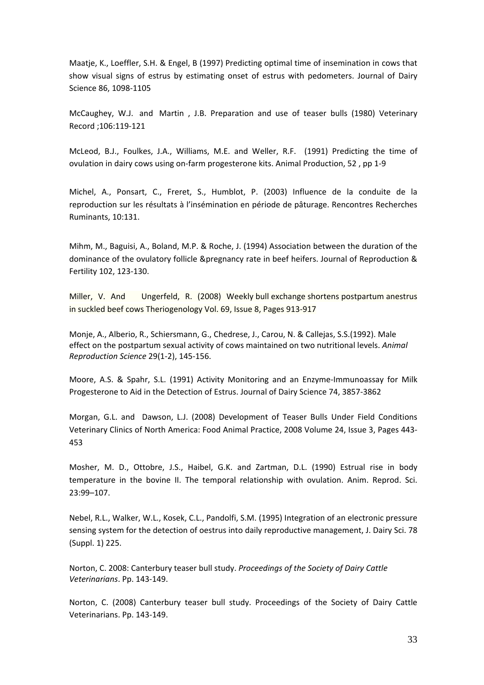Maatje, K., Loeffler, S.H. & Engel, B (1997) Predicting optimal time of insemination in cows that show visual signs of estrus by estimating onset of estrus with pedometers. Journal of Dairy Science 86, 1098‐1105

[McCaughey](http://veterinaryrecord.bmj.com/search?author1=WJ+McCaughey&sortspec=date&submit=Submit), W.J. and [Martin](http://veterinaryrecord.bmj.com/search?author1=JB+Martin&sortspec=date&submit=Submit) , J.B. Preparation and use of teaser bulls (1980) Veterinary Record ;106:119‐121

McLeod, B.J., Foulkes, J.A., Williams, M.E. and Weller, R.F. (1991) Predicting the time of ovulation in dairy cows using on‐farm progesterone kits. Animal Production, 52 , pp 1‐9

Michel, A., Ponsart, C., Freret, S., Humblot, P. (2003) Influence de la conduite de la reproduction sur les résultats à l'insémination en période de pâturage. Rencontres Recherches Ruminants, 10:131.

Mihm, M., Baguisi, A., Boland, M.P. & Roche, J. (1994) Association between the duration of the dominance of the ovulatory follicle &pregnancy rate in beef heifers. Journal of Reproduction & Fertility 102, 123‐130.

Miller, V. And Ungerfeld, R. (2008) Weekly bull exchange shortens postpartum anestrus in suckled beef cows Theriogenology Vol. 69, Issue 8, Pages 913‐917

Monje, A., Alberio, R., Schiersmann, G., Chedrese, J., Carou, N. & Callejas, S.S.(1992). Male effect on the postpartum sexual activity of cows maintained on two nutritional levels. *Animal Reproduction Science* 29(1‐2), 145‐156.

Moore, A.S. & Spahr, S.L. (1991) Activity Monitoring and an Enzyme‐Immunoassay for Milk Progesterone to Aid in the Detection of Estrus. Journal of Dairy Science 74, 3857‐3862

Morgan, G.L. and Dawson, L.J. (2008) Development of Teaser Bulls Under Field Conditions Veterinary Clinics of North America: Food Animal Practice, 2008 Volume 24, Issue 3, Pages 443‐ 453

Mosher, M. D., Ottobre, J.S., Haibel, G.K. and Zartman, D.L. (1990) Estrual rise in body temperature in the bovine II. The temporal relationship with ovulation. Anim. Reprod. Sci. 23:99–107.

Nebel, R.L., Walker, W.L., Kosek, C.L., Pandolfi, S.M. (1995) Integration of an electronic pressure sensing system for the detection of oestrus into daily reproductive management, J. Dairy Sci. 78 (Suppl. 1) 225.

Norton, C. 2008: Canterbury teaser bull study. *Proceedings of the Society of Dairy Cattle Veterinarians*. Pp. 143‐149.

Norton, C. (2008) Canterbury teaser bull study. Proceedings of the Society of Dairy Cattle Veterinarians. Pp. 143‐149.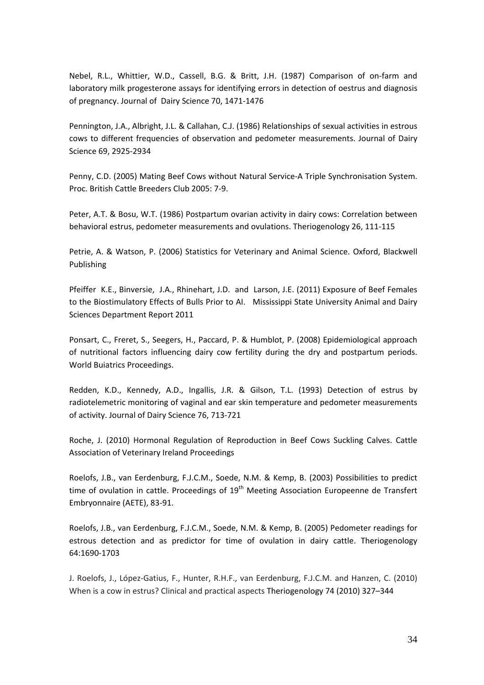Nebel, R.L., Whittier, W.D., Cassell, B.G. & Britt, J.H. (1987) Comparison of on‐farm and laboratory milk progesterone assays for identifying errors in detection of oestrus and diagnosis of pregnancy. Journal of Dairy Science 70, 1471‐1476

Pennington, J.A., Albright, J.L. & Callahan, C.J. (1986) Relationships of sexual activities in estrous cows to different frequencies of observation and pedometer measurements. Journal of Dairy Science 69, 2925‐2934

Penny, C.D. (2005) Mating Beef Cows without Natural Service‐A Triple Synchronisation System. Proc. British Cattle Breeders Club 2005: 7‐9.

Peter, A.T. & Bosu, W.T. (1986) Postpartum ovarian activity in dairy cows: Correlation between behavioral estrus, pedometer measurements and ovulations. Theriogenology 26, 111‐115

Petrie, A. & Watson, P. (2006) Statistics for Veterinary and Animal Science. Oxford, Blackwell Publishing

Pfeiffer K.E., Binversie, J.A., Rhinehart, J.D. and Larson, J.E. (2011) Exposure of Beef Females to the Biostimulatory Effects of Bulls Prior to AI. Mississippi State University Animal and Dairy Sciences Department Report 2011

Ponsart, C., Freret, S., Seegers, H., Paccard, P. & Humblot, P. (2008) Epidemiological approach of nutritional factors influencing dairy cow fertility during the dry and postpartum periods. World Buiatrics Proceedings.

Redden, K.D., Kennedy, A.D., Ingallis, J.R. & Gilson, T.L. (1993) Detection of estrus by radiotelemetric monitoring of vaginal and ear skin temperature and pedometer measurements of activity. Journal of Dairy Science 76, 713‐721

Roche, J. (2010) Hormonal Regulation of Reproduction in Beef Cows Suckling Calves. Cattle Association of Veterinary Ireland Proceedings

Roelofs, J.B., van Eerdenburg, F.J.C.M., Soede, N.M. & Kemp, B. (2003) Possibilities to predict time of ovulation in cattle. Proceedings of  $19<sup>th</sup>$  Meeting Association Europeenne de Transfert Embryonnaire (AETE), 83‐91.

Roelofs, J.B., van Eerdenburg, F.J.C.M., Soede, N.M. & Kemp, B. (2005) Pedometer readings for estrous detection and as predictor for time of ovulation in dairy cattle. Theriogenology 64:1690‐1703

J. Roelofs, J., López‐Gatius, F., Hunter, R.H.F., van Eerdenburg, F.J.C.M. and Hanzen, C. (2010) When is a cow in estrus? Clinical and practical aspects Theriogenology 74 (2010) 327–344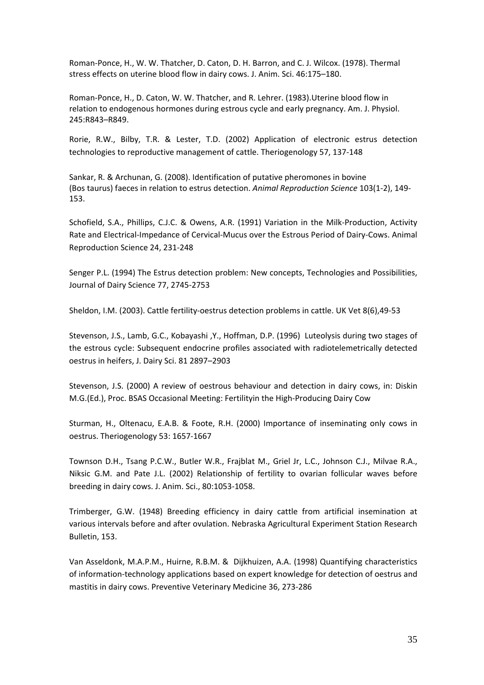Roman‐Ponce, H., W. W. Thatcher, D. Caton, D. H. Barron, and C. J. Wilcox. (1978). Thermal stress effects on uterine blood flow in dairy cows. J. Anim. Sci. 46:175–180.

Roman‐Ponce, H., D. Caton, W. W. Thatcher, and R. Lehrer. (1983).Uterine blood flow in relation to endogenous hormones during estrous cycle and early pregnancy. Am. J. Physiol. 245:R843–R849.

Rorie, R.W., Bilby, T.R. & Lester, T.D. (2002) Application of electronic estrus detection technologies to reproductive management of cattle. Theriogenology 57, 137‐148

Sankar, R. & Archunan, G. (2008). Identification of putative pheromones in bovine (Bos taurus) faeces in relation to estrus detection. *Animal Reproduction Science* 103(1‐2), 149‐ 153.

Schofield, S.A., Phillips, C.J.C. & Owens, A.R. (1991) Variation in the Milk‐Production, Activity Rate and Electrical‐Impedance of Cervical‐Mucus over the Estrous Period of Dairy‐Cows. Animal Reproduction Science 24, 231‐248

Senger P.L. (1994) The Estrus detection problem: New concepts, Technologies and Possibilities, Journal of Dairy Science 77, 2745‐2753

Sheldon, I.M. (2003). Cattle fertility‐oestrus detection problems in cattle. UK Vet 8(6),49‐53

Stevenson, J.S., Lamb, G.C., Kobayashi ,Y., Hoffman, D.P. (1996) Luteolysis during two stages of the estrous cycle: Subsequent endocrine profiles associated with radiotelemetrically detected oestrus in heifers, J. Dairy Sci. 81 2897–2903

Stevenson, J.S. (2000) A review of oestrous behaviour and detection in dairy cows, in: Diskin M.G.(Ed.), Proc. BSAS Occasional Meeting: Fertilityin the High‐Producing Dairy Cow

Sturman, H., Oltenacu, E.A.B. & Foote, R.H. (2000) Importance of inseminating only cows in oestrus. Theriogenology 53: 1657‐1667

Townson D.H., Tsang P.C.W., Butler W.R., Frajblat M., Griel Jr, L.C., Johnson C.J., Milvae R.A., Niksic G.M. and Pate J.L. (2002) Relationship of fertility to ovarian follicular waves before breeding in dairy cows. J. Anim. Sci., 80:1053‐1058.

Trimberger, G.W. (1948) Breeding efficiency in dairy cattle from artificial insemination at various intervals before and after ovulation. Nebraska Agricultural Experiment Station Research Bulletin, 153.

Van Asseldonk, M.A.P.M., Huirne, R.B.M. & Dijkhuizen, A.A. (1998) Quantifying characteristics of information‐technology applications based on expert knowledge for detection of oestrus and mastitis in dairy cows. Preventive Veterinary Medicine 36, 273‐286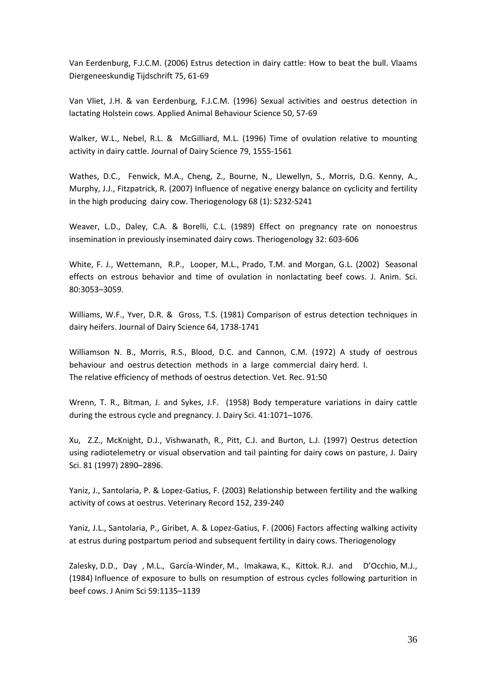Van Eerdenburg, F.J.C.M. (2006) Estrus detection in dairy cattle: How to beat the bull. Vlaams Diergeneeskundig Tijdschrift 75, 61‐69

Van Vliet, J.H. & van Eerdenburg, F.J.C.M. (1996) Sexual activities and oestrus detection in lactating Holstein cows. Applied Animal Behaviour Science 50, 57‐69

Walker, W.L., Nebel, R.L. & McGilliard, M.L. (1996) Time of ovulation relative to mounting activity in dairy cattle. Journal of Dairy Science 79, 1555‐1561

Wathes, D.C., Fenwick, M.A., Cheng, Z., Bourne, N., Llewellyn, S., Morris, D.G. Kenny, A., Murphy, J.J., Fitzpatrick, R. (2007) Influence of negative energy balance on cyclicity and fertility in the high producing dairy cow. Theriogenology 68 (1): S232‐S241

Weaver, L.D., Daley, C.A. & Borelli, C.L. (1989) Effect on pregnancy rate on nonoestrus insemination in previously inseminated dairy cows. Theriogenology 32: 603‐606

White, F. J., Wettemann, R.P., Looper, M.L., Prado, T.M. and Morgan, G.L. (2002) Seasonal effects on estrous behavior and time of ovulation in nonlactating beef cows. J. Anim. Sci. 80:3053–3059.

Williams, W.F., Yver, D.R. & Gross, T.S. (1981) Comparison of estrus detection techniques in dairy heifers. Journal of Dairy Science 64, 1738‐1741

Williamson N. B., Morris, R.S., Blood, D.C. and Cannon, C.M. (1972) A study of oestrous behaviour and oestrus detection methods in a large commercial dairy herd. I. The relative efficiency of methods of oestrus detection. Vet. Rec. 91:50

Wrenn, T. R., Bitman, J. and Sykes, J.F. (1958) Body temperature variations in dairy cattle during the estrous cycle and pregnancy. J. Dairy Sci. 41:1071–1076.

Xu, Z.Z., McKnight, D.J., Vishwanath, R., Pitt, C.J. and Burton, L.J. (1997) Oestrus detection using radiotelemetry or visual observation and tail painting for dairy cows on pasture, J. Dairy Sci. 81 (1997) 2890–2896.

Yaniz, J., Santolaria, P. & Lopez‐Gatius, F. (2003) Relationship between fertility and the walking activity of cows at oestrus. Veterinary Record 152, 239‐240

Yaniz, J.L., Santolaria, P., Giribet, A. & Lopez‐Gatius, F. (2006) Factors affecting walking activity at estrus during postpartum period and subsequent fertility in dairy cows. Theriogenology

Zalesky, D.D., Day , M.L., García‐Winder, M., Imakawa, K., Kittok. R.J. and D'Occhio, M.J., (1984) Influence of exposure to bulls on resumption of estrous cycles following parturition in beef cows. J Anim Sci 59:1135–1139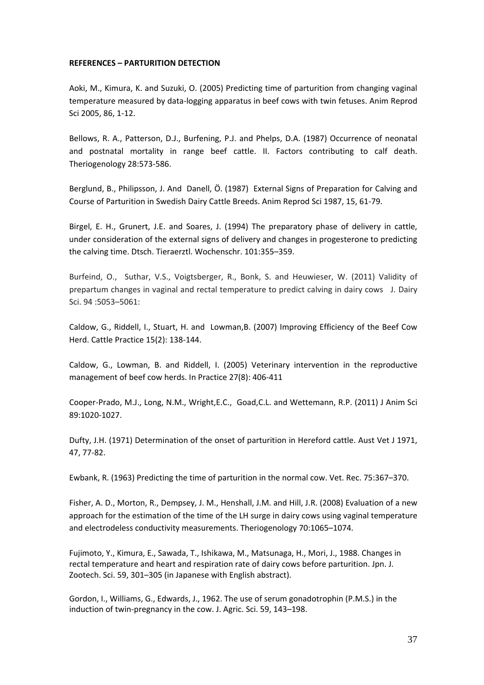#### **REFERENCES – PARTURITION DETECTION**

Aoki, M., Kimura, K. and Suzuki, O. (2005) Predicting time of parturition from changing vaginal temperature measured by data‐logging apparatus in beef cows with twin fetuses. Anim Reprod Sci 2005, 86, 1‐12.

Bellows, R. A., Patterson, D.J., Burfening, P.J. and Phelps, D.A. (1987) Occurrence of neonatal and postnatal mortality in range beef cattle. II. Factors contributing to calf death. Theriogenology 28:573‐586.

Berglund, B., Philipsson, J. And Danell, Ö. (1987) External Signs of Preparation for Calving and Course of Parturition in Swedish Dairy Cattle Breeds. Anim Reprod Sci 1987, 15, 61‐79.

Birgel, E. H., Grunert, J.E. and Soares, J. (1994) The preparatory phase of delivery in cattle, under consideration of the external signs of delivery and changes in progesterone to predicting the calving time. Dtsch. Tieraerztl. Wochenschr. 101:355–359.

Burfeind, O., Suthar, V.S., Voigtsberger, R., Bonk, S. and Heuwieser, W. (2011) Validity of prepartum changes in vaginal and rectal temperature to predict calving in dairy cows J. Dairy Sci. 94 :5053–5061:

Caldow, G., Riddell, I., Stuart, H. and Lowman,B. (2007) Improving Efficiency of the Beef Cow Herd. Cattle Practice 15(2): 138‐144.

Caldow, G., Lowman, B. and Riddell, I. (2005) Veterinary intervention in the reproductive management of beef cow herds. In Practice 27(8): 406‐411

Cooper‐Prado, M.J., Long, N.M., Wright,E.C., Goad,C.L. and Wettemann, R.P. (2011) J Anim Sci 89:1020‐1027.

Dufty, J.H. (1971) Determination of the onset of parturition in Hereford cattle. Aust Vet J 1971, 47, 77‐82.

Ewbank, R. (1963) Predicting the time of parturition in the normal cow. Vet. Rec. 75:367–370.

Fisher, A. D., Morton, R., Dempsey, J. M., Henshall, J.M. and Hill, J.R. (2008) Evaluation of a new approach for the estimation of the time of the LH surge in dairy cows using vaginal temperature and electrodeless conductivity measurements. Theriogenology 70:1065–1074.

Fujimoto, Y., Kimura, E., Sawada, T., Ishikawa, M., Matsunaga, H., Mori, J., 1988. Changes in rectal temperature and heart and respiration rate of dairy cows before parturition. Jpn. J. Zootech. Sci. 59, 301–305 (in Japanese with English abstract).

Gordon, I., Williams, G., Edwards, J., 1962. The use of serum gonadotrophin (P.M.S.) in the induction of twin‐pregnancy in the cow. J. Agric. Sci. 59, 143–198.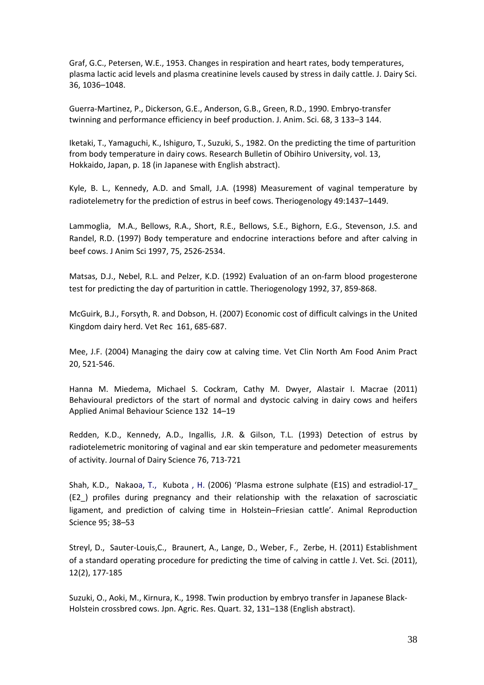Graf, G.C., Petersen, W.E., 1953. Changes in respiration and heart rates, body temperatures, plasma lactic acid levels and plasma creatinine levels caused by stress in daily cattle. J. Dairy Sci. 36, 1036–1048.

Guerra‐Martinez, P., Dickerson, G.E., Anderson, G.B., Green, R.D., 1990. Embryo‐transfer twinning and performance efficiency in beef production. J. Anim. Sci. 68, 3 133–3 144.

Iketaki, T., Yamaguchi, K., Ishiguro, T., Suzuki, S., 1982. On the predicting the time of parturition from body temperature in dairy cows. Research Bulletin of Obihiro University, vol. 13, Hokkaido, Japan, p. 18 (in Japanese with English abstract).

Kyle, B. L., Kennedy, A.D. and Small, J.A. (1998) Measurement of vaginal temperature by radiotelemetry for the prediction of estrus in beef cows. Theriogenology 49:1437–1449.

Lammoglia, M.A., Bellows, R.A., Short, R.E., Bellows, S.E., Bighorn, E.G., Stevenson, J.S. and Randel, R.D. (1997) Body temperature and endocrine interactions before and after calving in beef cows. J Anim Sci 1997, 75, 2526‐2534.

Matsas, D.J., Nebel, R.L. and Pelzer, K.D. (1992) Evaluation of an on‐farm blood progesterone test for predicting the day of parturition in cattle. Theriogenology 1992, 37, 859‐868.

McGuirk, B.J., Forsyth, R. and Dobson, H. (2007) Economic cost of difficult calvings in the United Kingdom dairy herd. Vet Rec 161, 685‐687.

Mee, J.F. (2004) Managing the dairy cow at calving time. Vet Clin North Am Food Anim Pract 20, 521‐546.

Hanna M. Miedema, Michael S. Cockram, Cathy M. Dwyer, Alastair I. Macrae (2011) Behavioural predictors of the start of normal and dystocic calving in dairy cows and heifers Applied Animal Behaviour Science 132 14–19

Redden, K.D., Kennedy, A.D., Ingallis, J.R. & Gilson, T.L. (1993) Detection of estrus by radiotelemetric monitoring of vaginal and ear skin temperature and pedometer measurements of activity. Journal of Dairy Science 76, 713‐721

Shah, K.D., Nakaoa, T., Kubota , H. (2006) 'Plasma estrone sulphate (E1S) and estradiol‐17\_ (E2\_) profiles during pregnancy and their relationship with the relaxation of sacrosciatic ligament, and prediction of calving time in Holstein–Friesian cattle'. Animal Reproduction Science 95; 38–53

Streyl, D., Sauter-Louis, C., Braunert, A., Lange, D., Weber, F., Zerbe, H. (2011) Establishment of a standard operating procedure for predicting the time of calving in cattle J. Vet. Sci. (2011), 12(2), 177‐185

Suzuki, O., Aoki, M., Kirnura, K., 1998. Twin production by embryo transfer in Japanese Black‐ Holstein crossbred cows. Jpn. Agric. Res. Quart. 32, 131–138 (English abstract).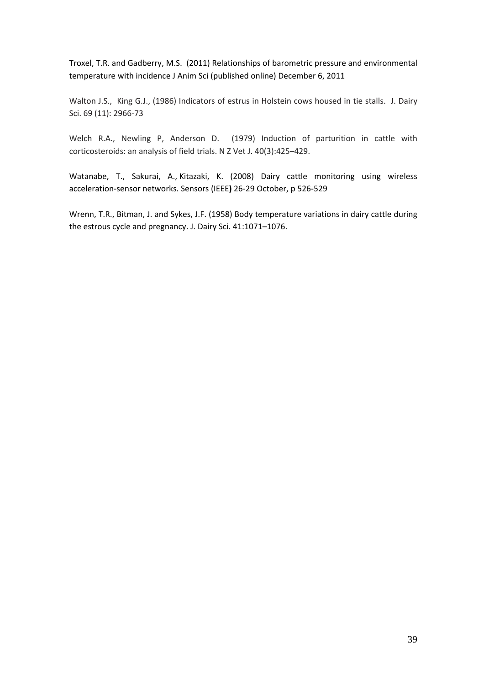Troxel, T.R. and Gadberry, M.S. (2011) Relationships of barometric pressure and environmental temperature with incidence J Anim Sci (published online) December 6, 2011

Walton J.S., King G.J., (1986) Indicators of estrus in Holstein cows housed in tie stalls. J. Dairy Sci. 69 (11): 2966‐73

Welch R.A., Newling P, Anderson D. (1979) Induction of parturition in cattle with corticosteroids: an analysis of field trials. N Z Vet J. 40(3):425–429.

Watanabe, T., Sakurai, A., Kitazaki, K. (2008) Dairy cattle monitoring using wireless acceleration‐sensor networks. Sensors (IEEE**)** 26‐29 October, p 526‐529

Wrenn, T.R., Bitman, J. and Sykes, J.F. (1958) Body temperature variations in dairy cattle during the estrous cycle and pregnancy. J. Dairy Sci. 41:1071–1076.